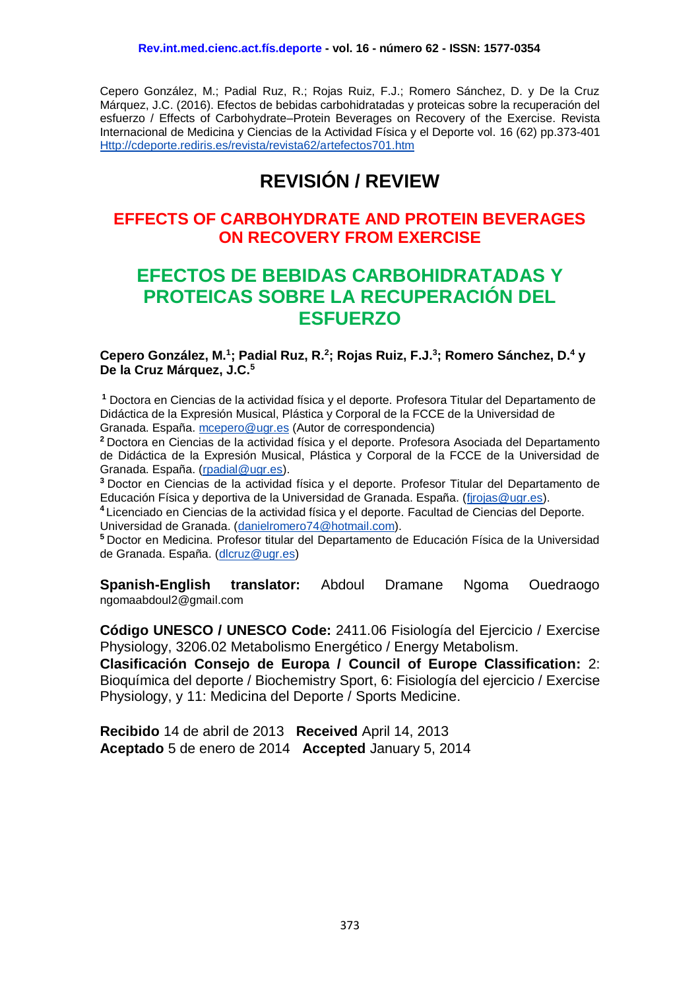Cepero González, M.; Padial Ruz, R.; Rojas Ruiz, F.J.; Romero Sánchez, D. y De la Cruz Márquez, J.C. (2016). Efectos de bebidas carbohidratadas y proteicas sobre la recuperación del esfuerzo / Effects of Carbohydrate–Protein Beverages on Recovery of the Exercise. Revista Internacional de Medicina y Ciencias de la Actividad Física y el Deporte vol. 16 (62) pp.373-401 [Http://cdeporte.rediris.es/revista/revista62/artefectos701.htm](http://cdeporte.rediris.es/revista/revista62/artefectos701.htm)

# **REVISIÓN / REVIEW**

# **EFFECTS OF CARBOHYDRATE AND PROTEIN BEVERAGES ON RECOVERY FROM EXERCISE**

# **EFECTOS DE BEBIDAS CARBOHIDRATADAS Y PROTEICAS SOBRE LA RECUPERACIÓN DEL ESFUERZO**

#### **Cepero González, M.<sup>1</sup> ; Padial Ruz, R.<sup>2</sup> ; Rojas Ruiz, F.J.<sup>3</sup> ; Romero Sánchez, D.<sup>4</sup> y De la Cruz Márquez, J.C.<sup>5</sup>**

**<sup>1</sup>** Doctora en Ciencias de la actividad física y el deporte. Profesora Titular del Departamento de Didáctica de la Expresión Musical, Plástica y Corporal de la FCCE de la Universidad de Granada. España. [mcepero@ugr.es](mailto:mcepero@ugr.es) (Autor de correspondencia)

**<sup>2</sup>**Doctora en Ciencias de la actividad física y el deporte. Profesora Asociada del Departamento de Didáctica de la Expresión Musical, Plástica y Corporal de la FCCE de la Universidad de Granada. España. [\(rpadial@ugr.es\)](mailto:rpadial@ugr.es).

**<sup>3</sup>**Doctor en Ciencias de la actividad física y el deporte. Profesor Titular del Departamento de Educación Física y deportiva de la Universidad de Granada. España. [\(fjrojas@ugr.es\)](mailto:fjrojas@ugr.es).

**<sup>4</sup>**Licenciado en Ciencias de la actividad física y el deporte. Facultad de Ciencias del Deporte. Universidad de Granada. [\(danielromero74@hotmail.com\)](mailto:danielromero74@hotmail.com).

**<sup>5</sup>**Doctor en Medicina. Profesor titular del Departamento de Educación Física de la Universidad de Granada. España. [\(dlcruz@ugr.es\)](mailto:dlcruz@ugr.es)

**Spanish-English translator:** Abdoul Dramane Ngoma Ouedraogo [ngomaabdoul2@gmail.com](mailto:ngomaabdoul2@gmail.com)

**Código UNESCO / UNESCO Code:** 2411.06 Fisiología del Ejercicio / Exercise Physiology, 3206.02 Metabolismo Energético / Energy Metabolism.

**Clasificación Consejo de Europa / Council of Europe Classification:** 2: Bioquímica del deporte / Biochemistry Sport, 6: Fisiología del ejercicio / Exercise Physiology, y 11: Medicina del Deporte / Sports Medicine.

**Recibido** 14 de abril de 2013 **Received** April 14, 2013 **Aceptado** 5 de enero de 2014 **Accepted** January 5, 2014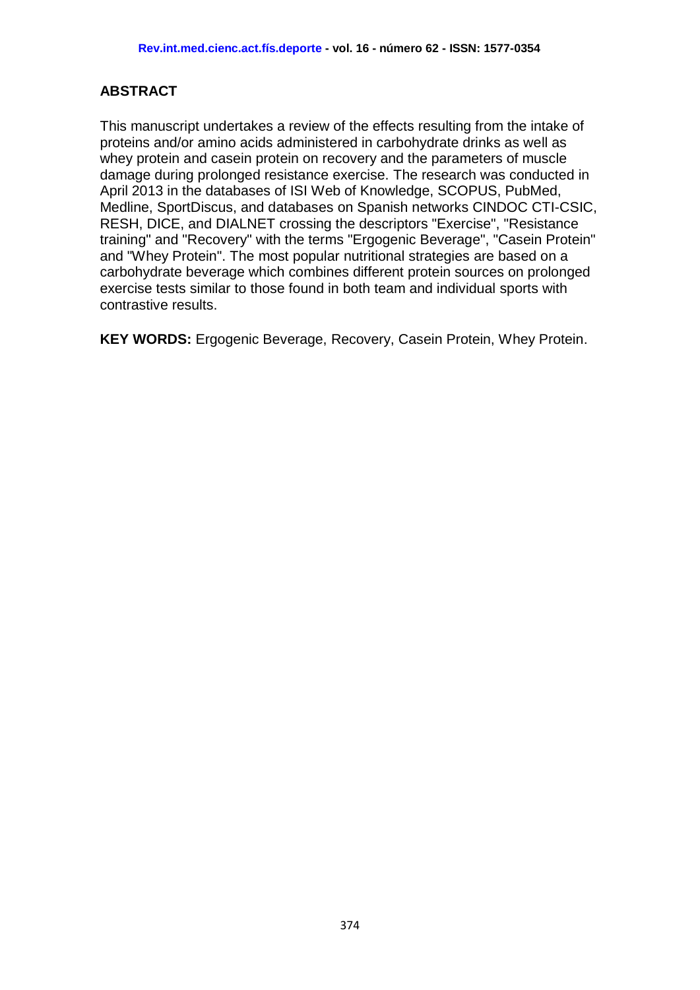# **ABSTRACT**

This manuscript undertakes a review of the effects resulting from the intake of proteins and/or amino acids administered in carbohydrate drinks as well as whey protein and casein protein on recovery and the parameters of muscle damage during prolonged resistance exercise. The research was conducted in April 2013 in the databases of ISI Web of Knowledge, SCOPUS, PubMed, Medline, SportDiscus, and databases on Spanish networks CINDOC CTI-CSIC, RESH, DICE, and DIALNET crossing the descriptors "Exercise", "Resistance training" and "Recovery" with the terms "Ergogenic Beverage", "Casein Protein" and "Whey Protein". The most popular nutritional strategies are based on a carbohydrate beverage which combines different protein sources on prolonged exercise tests similar to those found in both team and individual sports with contrastive results.

**KEY WORDS:** Ergogenic Beverage, Recovery, Casein Protein, Whey Protein.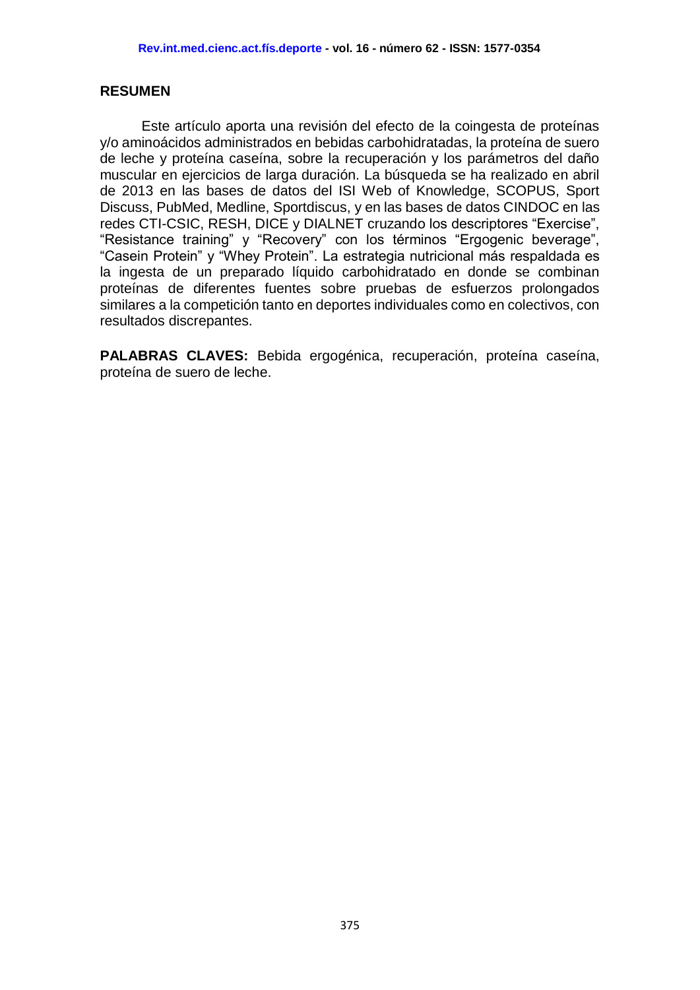### **RESUMEN**

Este artículo aporta una revisión del efecto de la coingesta de proteínas y/o aminoácidos administrados en bebidas carbohidratadas, la proteína de suero de leche y proteína caseína, sobre la recuperación y los parámetros del daño muscular en ejercicios de larga duración. La búsqueda se ha realizado en abril de 2013 en las bases de datos del ISI Web of Knowledge, SCOPUS, Sport Discuss, PubMed, Medline, Sportdiscus, y en las bases de datos CINDOC en las redes CTI-CSIC, RESH, DICE y DIALNET cruzando los descriptores "Exercise", "Resistance training" y "Recovery" con los términos "Ergogenic beverage", "Casein Protein" y "Whey Protein". La estrategia nutricional más respaldada es la ingesta de un preparado líquido carbohidratado en donde se combinan proteínas de diferentes fuentes sobre pruebas de esfuerzos prolongados similares a la competición tanto en deportes individuales como en colectivos, con resultados discrepantes.

**PALABRAS CLAVES:** Bebida ergogénica, recuperación, proteína caseína, proteína de suero de leche.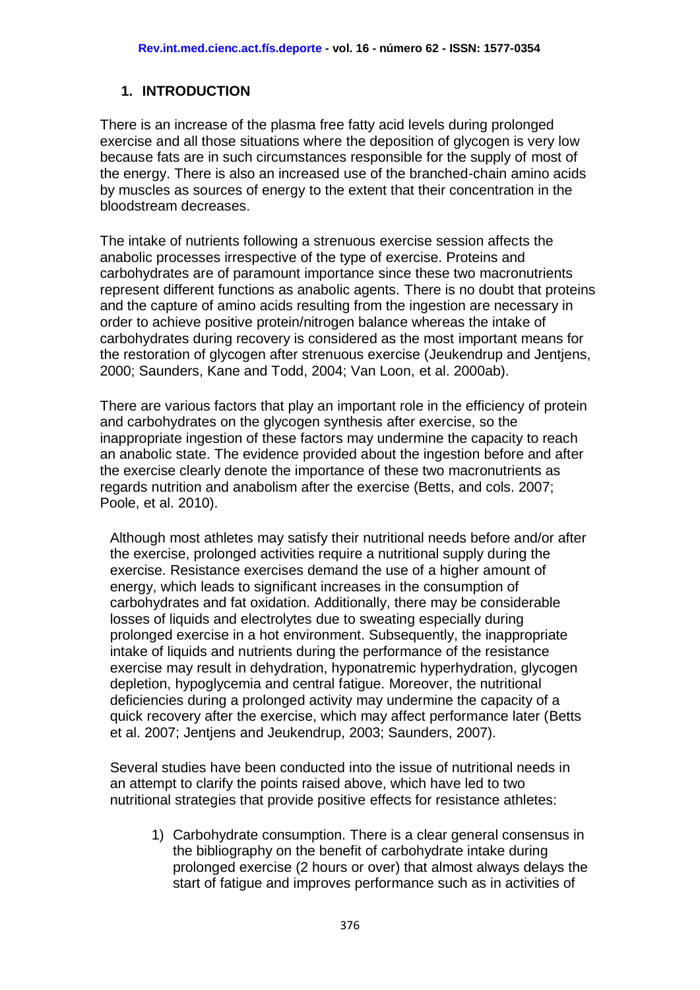## **1. INTRODUCTION**

There is an increase of the plasma free fatty acid levels during prolonged exercise and all those situations where the deposition of glycogen is very low because fats are in such circumstances responsible for the supply of most of the energy. There is also an increased use of the branched-chain amino acids by muscles as sources of energy to the extent that their concentration in the bloodstream decreases.

The intake of nutrients following a strenuous exercise session affects the anabolic processes irrespective of the type of exercise. Proteins and carbohydrates are of paramount importance since these two macronutrients represent different functions as anabolic agents. There is no doubt that proteins and the capture of amino acids resulting from the ingestion are necessary in order to achieve positive protein/nitrogen balance whereas the intake of carbohydrates during recovery is considered as the most important means for the restoration of glycogen after strenuous exercise (Jeukendrup and Jentjens, 2000; Saunders, Kane and Todd, 2004; Van Loon, et al. 2000ab).

There are various factors that play an important role in the efficiency of protein and carbohydrates on the glycogen synthesis after exercise, so the inappropriate ingestion of these factors may undermine the capacity to reach an anabolic state. The evidence provided about the ingestion before and after the exercise clearly denote the importance of these two macronutrients as regards nutrition and anabolism after the exercise (Betts, and cols. 2007; Poole, et al. 2010).

Although most athletes may satisfy their nutritional needs before and/or after the exercise, prolonged activities require a nutritional supply during the exercise. Resistance exercises demand the use of a higher amount of energy, which leads to significant increases in the consumption of carbohydrates and fat oxidation. Additionally, there may be considerable losses of liquids and electrolytes due to sweating especially during prolonged exercise in a hot environment. Subsequently, the inappropriate intake of liquids and nutrients during the performance of the resistance exercise may result in dehydration, hyponatremic hyperhydration, glycogen depletion, hypoglycemia and central fatigue. Moreover, the nutritional deficiencies during a prolonged activity may undermine the capacity of a quick recovery after the exercise, which may affect performance later (Betts et al. 2007; Jentjens and Jeukendrup, 2003; Saunders, 2007).

Several studies have been conducted into the issue of nutritional needs in an attempt to clarify the points raised above, which have led to two nutritional strategies that provide positive effects for resistance athletes:

1) Carbohydrate consumption. There is a clear general consensus in the bibliography on the benefit of carbohydrate intake during prolonged exercise (2 hours or over) that almost always delays the start of fatigue and improves performance such as in activities of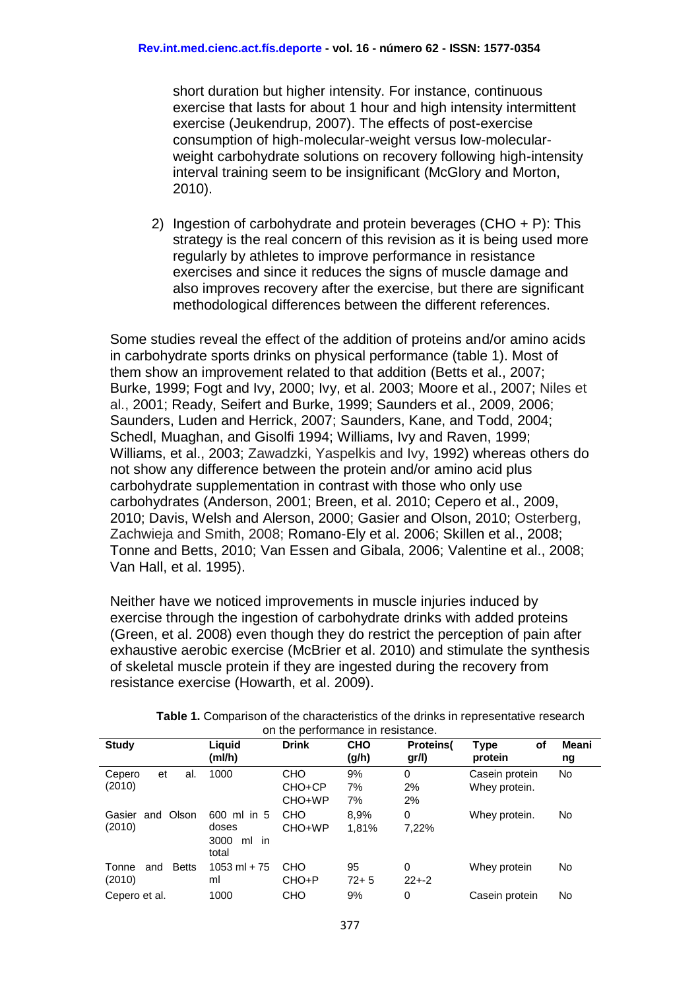short duration but higher intensity. For instance, continuous exercise that lasts for about 1 hour and high intensity intermittent exercise (Jeukendrup, 2007). The effects of post-exercise consumption of high-molecular-weight versus low-molecularweight carbohydrate solutions on recovery following high-intensity interval training seem to be insignificant (McGlory and Morton, 2010).

2) Ingestion of carbohydrate and protein beverages (CHO + P): This strategy is the real concern of this revision as it is being used more regularly by athletes to improve performance in resistance exercises and since it reduces the signs of muscle damage and also improves recovery after the exercise, but there are significant methodological differences between the different references.

Some studies reveal the effect of the addition of proteins and/or amino acids in carbohydrate sports drinks on physical performance (table 1). Most of them show an improvement related to that addition (Betts et al., 2007; Burke, 1999; Fogt and Ivy, 2000; Ivy, et al. 2003; Moore et al., 2007; Niles et al., 2001; Ready, Seifert and Burke, 1999; Saunders et al., 2009, 2006; Saunders, Luden and Herrick, 2007; Saunders, Kane, and Todd, 2004; Schedl, Muaghan, and Gisolfi 1994; Williams, Ivy and Raven, 1999; Williams, et al., 2003; Zawadzki, Yaspelkis and Ivy, 1992) whereas others do not show any difference between the protein and/or amino acid plus carbohydrate supplementation in contrast with those who only use carbohydrates (Anderson, 2001; Breen, et al. 2010; Cepero et al., 2009, 2010; Davis, Welsh and Alerson, 2000; Gasier and Olson, 2010; Osterberg, Zachwieja and Smith, 2008; Romano-Ely et al. 2006; Skillen et al., 2008; Tonne and Betts, 2010; Van Essen and Gibala, 2006; Valentine et al., 2008; Van Hall, et al. 1995).

Neither have we noticed improvements in muscle injuries induced by exercise through the ingestion of carbohydrate drinks with added proteins (Green, et al. 2008) even though they do restrict the perception of pain after exhaustive aerobic exercise (McBrier et al. 2010) and stimulate the synthesis of skeletal muscle protein if they are ingested during the recovery from resistance exercise (Howarth, et al. 2009).

| OIT THE DEITUITIRITUE III TESISTRITUE. |                                                   |                                |                     |                          |                                 |             |
|----------------------------------------|---------------------------------------------------|--------------------------------|---------------------|--------------------------|---------------------------------|-------------|
| <b>Study</b>                           | Liguid<br>(ml/h)                                  | <b>Drink</b>                   | <b>CHO</b><br>(g/h) | <b>Proteins</b><br>gr/l) | of<br><b>Type</b><br>protein    | Meani<br>ng |
| Cepero<br>et<br>al.<br>(2010)          | 1000                                              | <b>CHO</b><br>CHO+CP<br>CHO+WP | 9%<br>7%<br>7%      | 0<br>2%<br>2%            | Casein protein<br>Whey protein. | <b>No</b>   |
| and Olson<br>Gasier<br>(2010)          | 600 ml in 5<br>doses<br>in<br>3000<br>ml<br>total | CHO<br>CHO+WP                  | 8.9%<br>1.81%       | 0<br>7,22%               | Whey protein.                   | No.         |
| <b>Betts</b><br>Tonne<br>and<br>(2010) | $1053$ ml + 75<br>ml                              | CHO<br>CHO+P                   | 95<br>$72 + 5$      | 0<br>$22 + -2$           | Whey protein                    | No.         |
| Cepero et al.                          | 1000                                              | CHO                            | 9%                  | 0                        | Casein protein                  | No          |

| <b>Table 1.</b> Comparison of the characteristics of the drinks in representative research |                                   |  |  |
|--------------------------------------------------------------------------------------------|-----------------------------------|--|--|
|                                                                                            | on the performance in resistance. |  |  |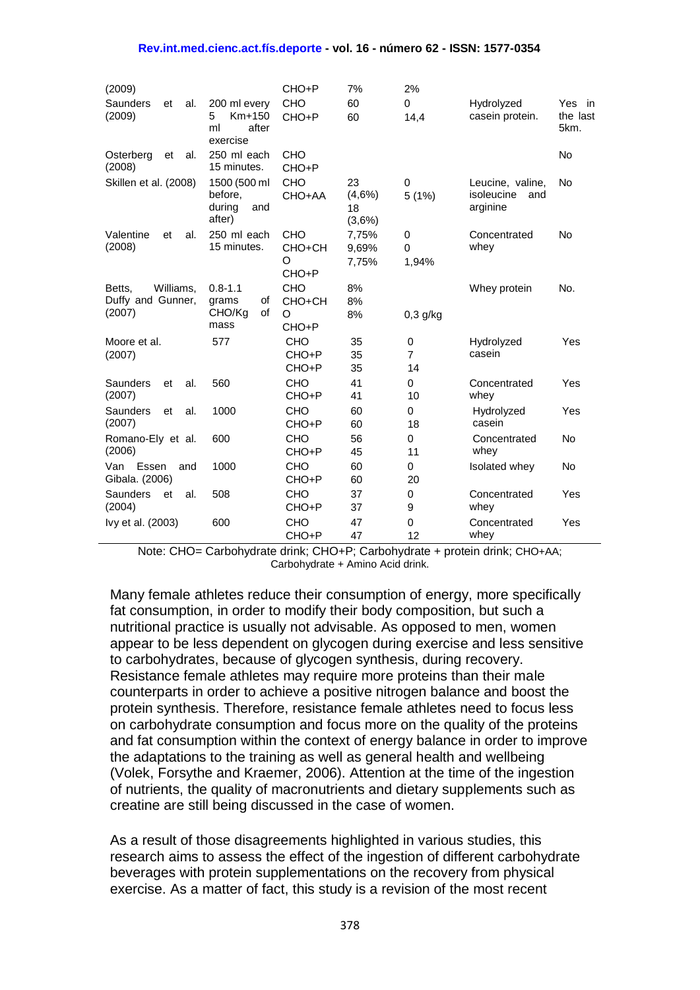#### **Rev.int.med.cienc.act.fís.deporte - vol. 16 - número 62 - ISSN: 1577-0354**

| (2009)                                             |                                                          | CHO+P                              | 7%                           | 2%                        |                                                   |                            |
|----------------------------------------------------|----------------------------------------------------------|------------------------------------|------------------------------|---------------------------|---------------------------------------------------|----------------------------|
| Saunders<br>et<br>al.<br>(2009)                    | 200 ml every<br>5<br>$Km+150$<br>after<br>ml<br>exercise | <b>CHO</b><br>CHO+P                | 60<br>60                     | 0<br>14,4                 | Hydrolyzed<br>casein protein.                     | Yes in<br>the last<br>5km. |
| Osterberg<br>et<br>al.<br>(2008)                   | 250 ml each<br>15 minutes.                               | <b>CHO</b><br>CHO+P                |                              |                           |                                                   | <b>No</b>                  |
| Skillen et al. (2008)                              | 1500 (500 ml<br>before,<br>during<br>and<br>after)       | CHO<br>CHO+AA                      | 23<br>(4,6%)<br>18<br>(3,6%) | 0<br>5(1%)                | Leucine, valine,<br>isoleucine<br>and<br>arginine | No                         |
| Valentine<br>al.<br>et<br>(2008)                   | 250 ml each<br>15 minutes.                               | <b>CHO</b><br>CHO+CH<br>O<br>CHO+P | 7,75%<br>9,69%<br>7,75%      | 0<br>0<br>1,94%           | Concentrated<br>whey                              | <b>No</b>                  |
| Williams,<br>Betts.<br>Duffy and Gunner,<br>(2007) | $0.8 - 1.1$<br>grams<br>οf<br>of<br>CHO/Ka<br>mass       | CHO<br>CHO+CH<br>O<br>CHO+P        | 8%<br>8%<br>8%               | $0,3$ g/kg                | Whey protein                                      | No.                        |
| Moore et al.<br>(2007)                             | 577                                                      | <b>CHO</b><br>CHO+P<br>CHO+P       | 35<br>35<br>35               | 0<br>$\overline{7}$<br>14 | Hydrolyzed<br>casein                              | Yes                        |
| Saunders<br>al.<br>et<br>(2007)                    | 560                                                      | <b>CHO</b><br>CHO+P                | 41<br>41                     | 0<br>10                   | Concentrated<br>whey                              | Yes                        |
| <b>Saunders</b><br>et<br>al.<br>(2007)             | 1000                                                     | <b>CHO</b><br>CHO+P                | 60<br>60                     | 0<br>18                   | Hydrolyzed<br>casein                              | Yes                        |
| Romano-Ely et al.<br>(2006)                        | 600                                                      | <b>CHO</b><br>CHO+P                | 56<br>45                     | 0<br>11                   | Concentrated<br>whey                              | No                         |
| Essen<br>Van<br>and<br>Gibala. (2006)              | 1000                                                     | <b>CHO</b><br>CHO+P                | 60<br>60                     | 0<br>20                   | <b>Isolated whey</b>                              | <b>No</b>                  |
| Saunders<br>et<br>al.<br>(2004)                    | 508                                                      | CHO<br>CHO+P                       | 37<br>37                     | 0<br>9                    | Concentrated<br>whey                              | Yes                        |
| lvy et al. (2003)                                  | 600                                                      | <b>CHO</b><br>CHO+P                | 47<br>47                     | 0<br>12                   | Concentrated<br>whey                              | Yes                        |

Note: CHO= Carbohydrate drink; CHO+P; Carbohydrate + protein drink; CHO+AA; Carbohydrate + Amino Acid drink.

Many female athletes reduce their consumption of energy, more specifically fat consumption, in order to modify their body composition, but such a nutritional practice is usually not advisable. As opposed to men, women appear to be less dependent on glycogen during exercise and less sensitive to carbohydrates, because of glycogen synthesis, during recovery. Resistance female athletes may require more proteins than their male counterparts in order to achieve a positive nitrogen balance and boost the protein synthesis. Therefore, resistance female athletes need to focus less on carbohydrate consumption and focus more on the quality of the proteins and fat consumption within the context of energy balance in order to improve the adaptations to the training as well as general health and wellbeing (Volek, Forsythe and Kraemer, 2006). Attention at the time of the ingestion of nutrients, the quality of macronutrients and dietary supplements such as creatine are still being discussed in the case of women.

As a result of those disagreements highlighted in various studies, this research aims to assess the effect of the ingestion of different carbohydrate beverages with protein supplementations on the recovery from physical exercise. As a matter of fact, this study is a revision of the most recent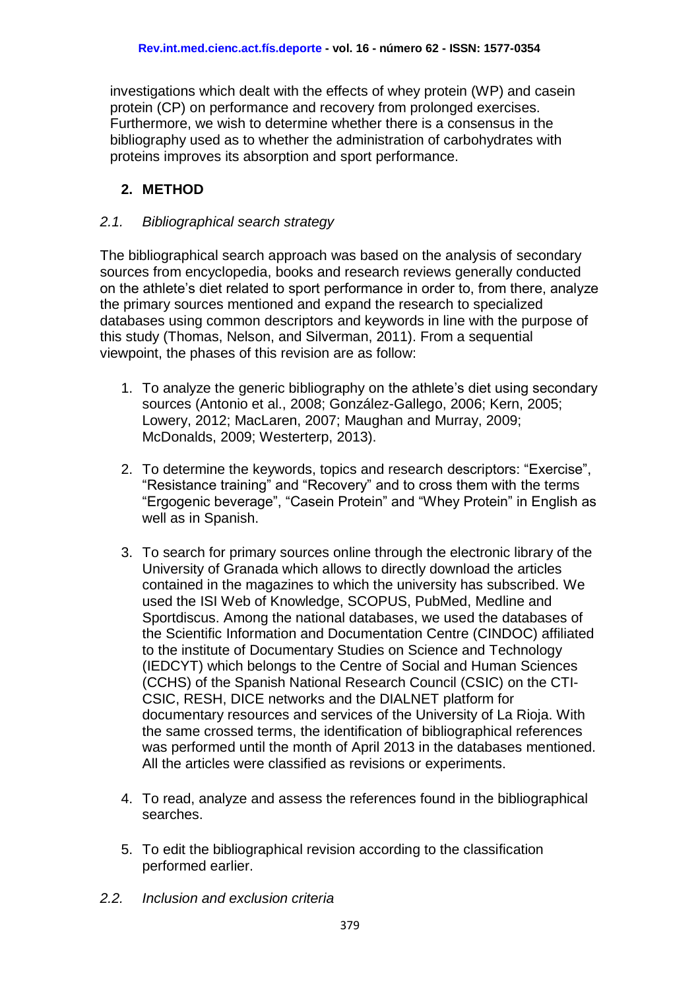investigations which dealt with the effects of whey protein (WP) and casein protein (CP) on performance and recovery from prolonged exercises. Furthermore, we wish to determine whether there is a consensus in the bibliography used as to whether the administration of carbohydrates with proteins improves its absorption and sport performance.

# **2. METHOD**

#### *2.1. Bibliographical search strategy*

The bibliographical search approach was based on the analysis of secondary sources from encyclopedia, books and research reviews generally conducted on the athlete's diet related to sport performance in order to, from there, analyze the primary sources mentioned and expand the research to specialized databases using common descriptors and keywords in line with the purpose of this study (Thomas, Nelson, and Silverman, 2011). From a sequential viewpoint, the phases of this revision are as follow:

- 1. To analyze the generic bibliography on the athlete's diet using secondary sources (Antonio et al., 2008; González-Gallego, 2006; Kern, 2005; Lowery, 2012; MacLaren, 2007; Maughan and Murray, 2009; McDonalds, 2009; Westerterp, 2013).
- 2. To determine the keywords, topics and research descriptors: "Exercise", "Resistance training" and "Recovery" and to cross them with the terms "Ergogenic beverage", "Casein Protein" and "Whey Protein" in English as well as in Spanish.
- 3. To search for primary sources online through the electronic library of the University of Granada which allows to directly download the articles contained in the magazines to which the university has subscribed. We used the ISI Web of Knowledge, SCOPUS, PubMed, Medline and Sportdiscus. Among the national databases, we used the databases of the Scientific Information and Documentation Centre (CINDOC) affiliated to the institute of Documentary Studies on Science and Technology (IEDCYT) which belongs to the Centre of Social and Human Sciences (CCHS) of the Spanish National Research Council (CSIC) on the CTI-CSIC, RESH, DICE networks and the DIALNET platform for documentary resources and services of the University of La Rioja. With the same crossed terms, the identification of bibliographical references was performed until the month of April 2013 in the databases mentioned. All the articles were classified as revisions or experiments.
- 4. To read, analyze and assess the references found in the bibliographical searches.
- 5. To edit the bibliographical revision according to the classification performed earlier.
- *2.2. Inclusion and exclusion criteria*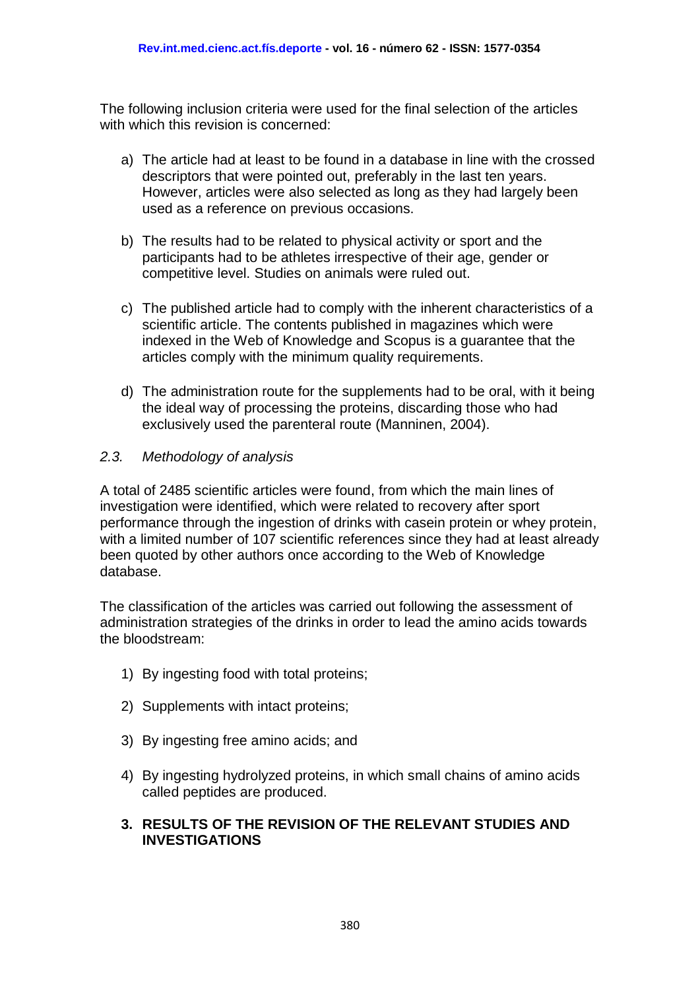The following inclusion criteria were used for the final selection of the articles with which this revision is concerned:

- a) The article had at least to be found in a database in line with the crossed descriptors that were pointed out, preferably in the last ten years. However, articles were also selected as long as they had largely been used as a reference on previous occasions.
- b) The results had to be related to physical activity or sport and the participants had to be athletes irrespective of their age, gender or competitive level. Studies on animals were ruled out.
- c) The published article had to comply with the inherent characteristics of a scientific article. The contents published in magazines which were indexed in the Web of Knowledge and Scopus is a guarantee that the articles comply with the minimum quality requirements.
- d) The administration route for the supplements had to be oral, with it being the ideal way of processing the proteins, discarding those who had exclusively used the parenteral route (Manninen, 2004).

#### *2.3. Methodology of analysis*

A total of 2485 scientific articles were found, from which the main lines of investigation were identified, which were related to recovery after sport performance through the ingestion of drinks with casein protein or whey protein, with a limited number of 107 scientific references since they had at least already been quoted by other authors once according to the Web of Knowledge database.

The classification of the articles was carried out following the assessment of administration strategies of the drinks in order to lead the amino acids towards the bloodstream:

- 1) By ingesting food with total proteins;
- 2) Supplements with intact proteins;
- 3) By ingesting free amino acids; and
- 4) By ingesting hydrolyzed proteins, in which small chains of amino acids called peptides are produced.

#### **3. RESULTS OF THE REVISION OF THE RELEVANT STUDIES AND INVESTIGATIONS**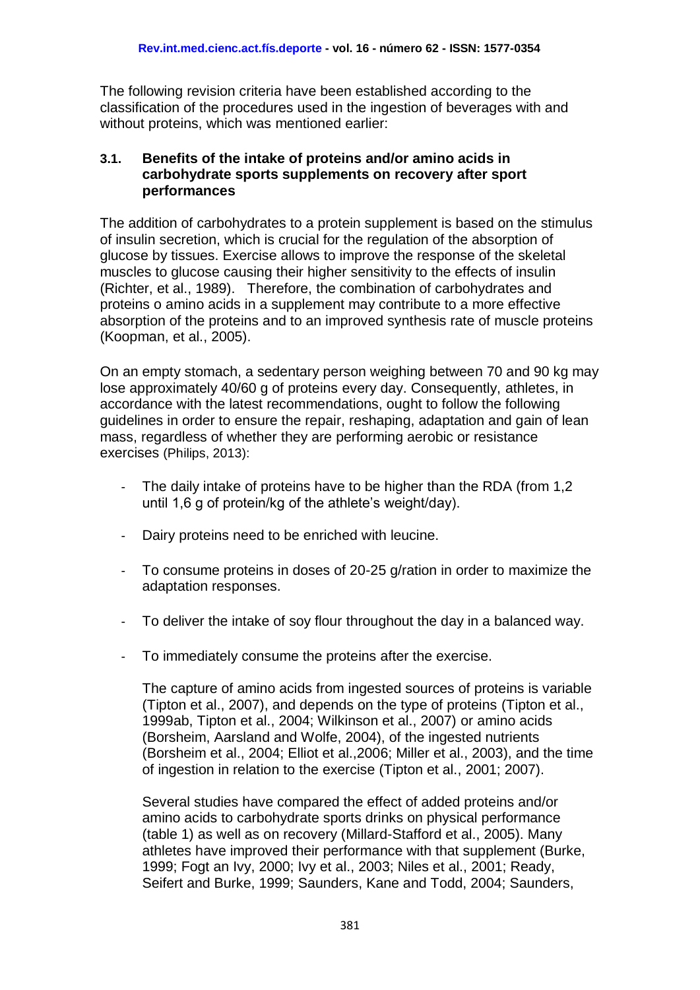The following revision criteria have been established according to the classification of the procedures used in the ingestion of beverages with and without proteins, which was mentioned earlier:

#### **3.1. Benefits of the intake of proteins and/or amino acids in carbohydrate sports supplements on recovery after sport performances**

The addition of carbohydrates to a protein supplement is based on the stimulus of insulin secretion, which is crucial for the regulation of the absorption of glucose by tissues. Exercise allows to improve the response of the skeletal muscles to glucose causing their higher sensitivity to the effects of insulin (Richter, et al., 1989). Therefore, the combination of carbohydrates and proteins o amino acids in a supplement may contribute to a more effective absorption of the proteins and to an improved synthesis rate of muscle proteins (Koopman, et al., 2005).

On an empty stomach, a sedentary person weighing between 70 and 90 kg may lose approximately 40/60 g of proteins every day. Consequently, athletes, in accordance with the latest recommendations, ought to follow the following guidelines in order to ensure the repair, reshaping, adaptation and gain of lean mass, regardless of whether they are performing aerobic or resistance exercises (Philips, 2013):

- The daily intake of proteins have to be higher than the RDA (from 1,2) until 1,6 g of protein/kg of the athlete's weight/day).
- Dairy proteins need to be enriched with leucine.
- To consume proteins in doses of 20-25 g/ration in order to maximize the adaptation responses.
- To deliver the intake of soy flour throughout the day in a balanced way.
- To immediately consume the proteins after the exercise.

The capture of amino acids from ingested sources of proteins is variable (Tipton et al., 2007), and depends on the type of proteins (Tipton et al., 1999ab, Tipton et al., 2004; Wilkinson et al., 2007) or amino acids (Borsheim, Aarsland and Wolfe, 2004), of the ingested nutrients (Borsheim et al., 2004; Elliot et al.,2006; Miller et al., 2003), and the time of ingestion in relation to the exercise (Tipton et al., 2001; 2007).

Several studies have compared the effect of added proteins and/or amino acids to carbohydrate sports drinks on physical performance (table 1) as well as on recovery (Millard-Stafford et al., 2005). Many athletes have improved their performance with that supplement (Burke, 1999; Fogt an Ivy, 2000; Ivy et al., 2003; Niles et al., 2001; Ready, Seifert and Burke, 1999; Saunders, Kane and Todd, 2004; Saunders,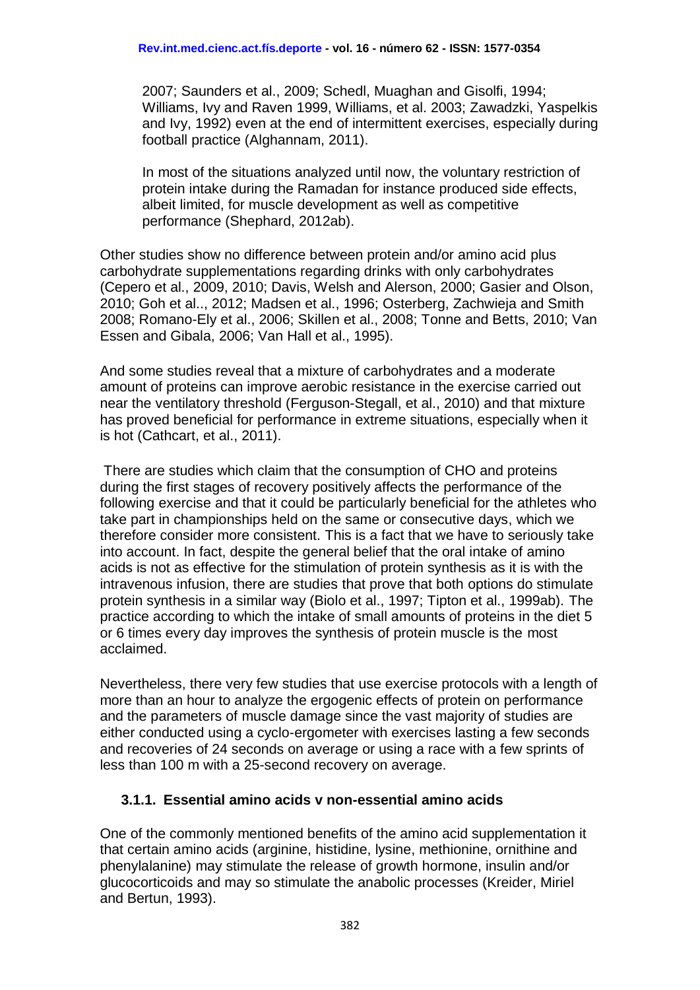2007; Saunders et al., 2009; Schedl, Muaghan and Gisolfi, 1994; Williams, Ivy and Raven 1999, Williams, et al. 2003; Zawadzki, Yaspelkis and Ivy, 1992) even at the end of intermittent exercises, especially during football practice (Alghannam, 2011).

In most of the situations analyzed until now, the voluntary restriction of protein intake during the Ramadan for instance produced side effects, albeit limited, for muscle development as well as competitive performance (Shephard, 2012ab).

Other studies show no difference between protein and/or amino acid plus carbohydrate supplementations regarding drinks with only carbohydrates (Cepero et al., 2009, 2010; Davis, Welsh and Alerson, 2000; Gasier and Olson, 2010; Goh et al.., 2012; Madsen et al., 1996; Osterberg, Zachwieja and Smith 2008; Romano-Ely et al., 2006; Skillen et al., 2008; Tonne and Betts, 2010; Van Essen and Gibala, 2006; Van Hall et al., 1995).

And some studies reveal that a mixture of carbohydrates and a moderate amount of proteins can improve aerobic resistance in the exercise carried out near the ventilatory threshold (Ferguson-Stegall, et al., 2010) and that mixture has proved beneficial for performance in extreme situations, especially when it is hot (Cathcart, et al., 2011).

There are studies which claim that the consumption of CHO and proteins during the first stages of recovery positively affects the performance of the following exercise and that it could be particularly beneficial for the athletes who take part in championships held on the same or consecutive days, which we therefore consider more consistent. This is a fact that we have to seriously take into account. In fact, despite the general belief that the oral intake of amino acids is not as effective for the stimulation of protein synthesis as it is with the intravenous infusion, there are studies that prove that both options do stimulate protein synthesis in a similar way (Biolo et al., 1997; Tipton et al., 1999ab). The practice according to which the intake of small amounts of proteins in the diet 5 or 6 times every day improves the synthesis of protein muscle is the most acclaimed.

Nevertheless, there very few studies that use exercise protocols with a length of more than an hour to analyze the ergogenic effects of protein on performance and the parameters of muscle damage since the vast majority of studies are either conducted using a cyclo-ergometer with exercises lasting a few seconds and recoveries of 24 seconds on average or using a race with a few sprints of less than 100 m with a 25-second recovery on average.

#### **3.1.1. Essential amino acids v non-essential amino acids**

One of the commonly mentioned benefits of the amino acid supplementation it that certain amino acids (arginine, histidine, lysine, methionine, ornithine and phenylalanine) may stimulate the release of growth hormone, insulin and/or glucocorticoids and may so stimulate the anabolic processes (Kreider, Miriel and Bertun, 1993).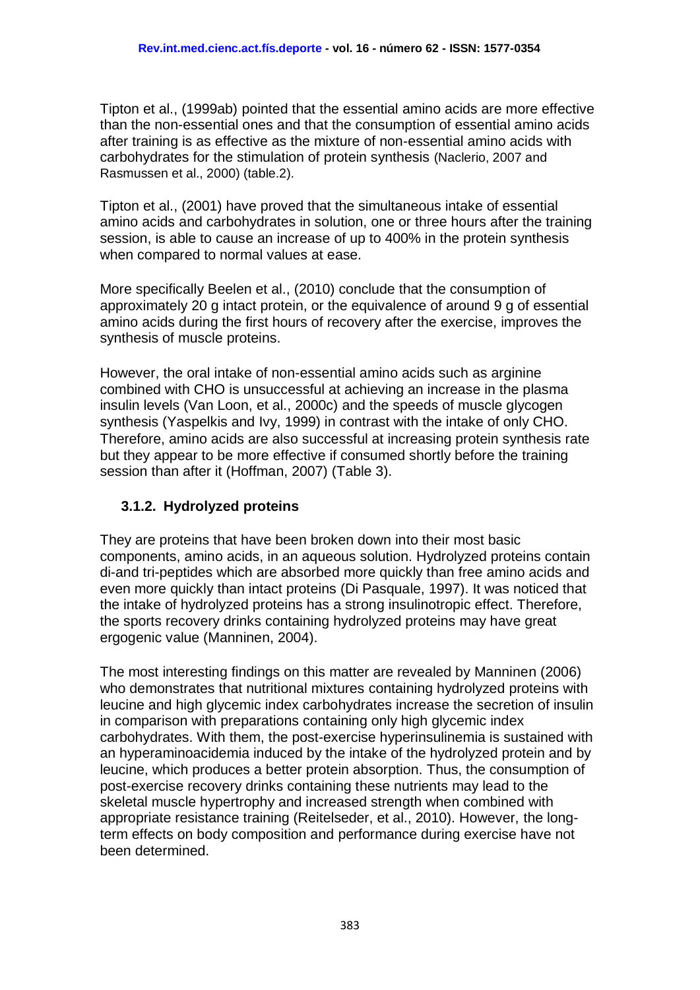Tipton et al., (1999ab) pointed that the essential amino acids are more effective than the non-essential ones and that the consumption of essential amino acids after training is as effective as the mixture of non-essential amino acids with carbohydrates for the stimulation of protein synthesis (Naclerio, 2007 and Rasmussen et al., 2000) (table.2).

Tipton et al., (2001) have proved that the simultaneous intake of essential amino acids and carbohydrates in solution, one or three hours after the training session, is able to cause an increase of up to 400% in the protein synthesis when compared to normal values at ease.

More specifically Beelen et al., (2010) conclude that the consumption of approximately 20 g intact protein, or the equivalence of around 9 g of essential amino acids during the first hours of recovery after the exercise, improves the synthesis of muscle proteins.

However, the oral intake of non-essential amino acids such as arginine combined with CHO is unsuccessful at achieving an increase in the plasma insulin levels (Van Loon, et al., 2000c) and the speeds of muscle glycogen synthesis (Yaspelkis and Ivy, 1999) in contrast with the intake of only CHO. Therefore, amino acids are also successful at increasing protein synthesis rate but they appear to be more effective if consumed shortly before the training session than after it (Hoffman, 2007) (Table 3).

# **3.1.2. Hydrolyzed proteins**

They are proteins that have been broken down into their most basic components, amino acids, in an aqueous solution. Hydrolyzed proteins contain di-and tri-peptides which are absorbed more quickly than free amino acids and even more quickly than intact proteins (Di Pasquale, 1997). It was noticed that the intake of hydrolyzed proteins has a strong insulinotropic effect. Therefore, the sports recovery drinks containing hydrolyzed proteins may have great ergogenic value (Manninen, 2004).

The most interesting findings on this matter are revealed by Manninen (2006) who demonstrates that nutritional mixtures containing hydrolyzed proteins with leucine and high glycemic index carbohydrates increase the secretion of insulin in comparison with preparations containing only high glycemic index carbohydrates. With them, the post-exercise hyperinsulinemia is sustained with an hyperaminoacidemia induced by the intake of the hydrolyzed protein and by leucine, which produces a better protein absorption. Thus, the consumption of post-exercise recovery drinks containing these nutrients may lead to the skeletal muscle hypertrophy and increased strength when combined with appropriate resistance training (Reitelseder, et al., 2010). However, the longterm effects on body composition and performance during exercise have not been determined.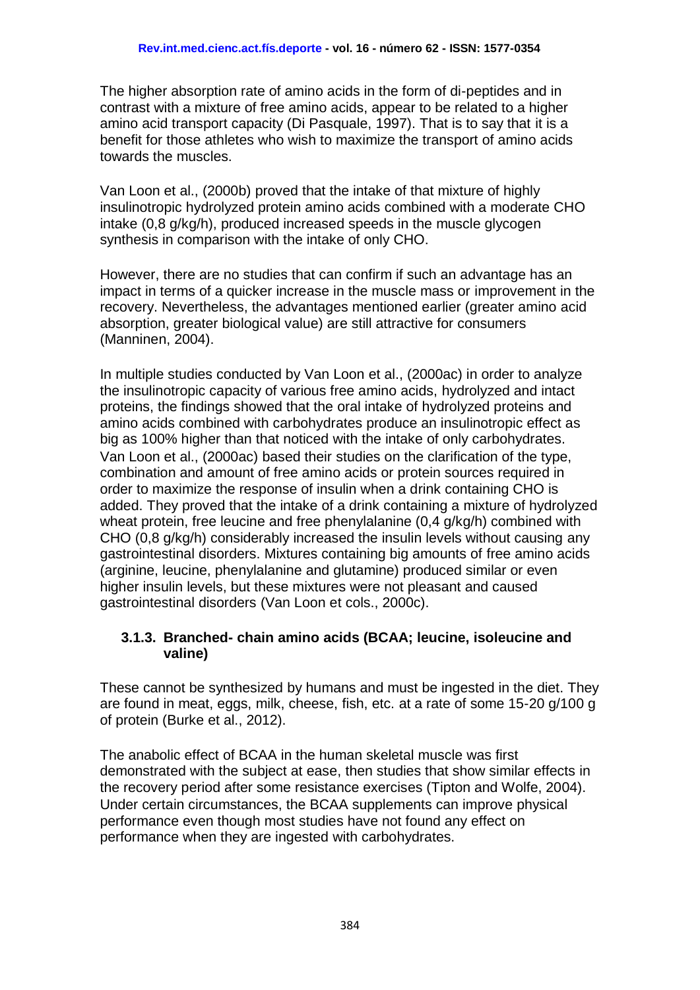The higher absorption rate of amino acids in the form of di-peptides and in contrast with a mixture of free amino acids, appear to be related to a higher amino acid transport capacity (Di Pasquale, 1997). That is to say that it is a benefit for those athletes who wish to maximize the transport of amino acids towards the muscles.

Van Loon et al., (2000b) proved that the intake of that mixture of highly insulinotropic hydrolyzed protein amino acids combined with a moderate CHO intake (0,8 g/kg/h), produced increased speeds in the muscle glycogen synthesis in comparison with the intake of only CHO.

However, there are no studies that can confirm if such an advantage has an impact in terms of a quicker increase in the muscle mass or improvement in the recovery. Nevertheless, the advantages mentioned earlier (greater amino acid absorption, greater biological value) are still attractive for consumers (Manninen, 2004).

In multiple studies conducted by Van Loon et al., (2000ac) in order to analyze the insulinotropic capacity of various free amino acids, hydrolyzed and intact proteins, the findings showed that the oral intake of hydrolyzed proteins and amino acids combined with carbohydrates produce an insulinotropic effect as big as 100% higher than that noticed with the intake of only carbohydrates. Van Loon et al., (2000ac) based their studies on the clarification of the type, combination and amount of free amino acids or protein sources required in order to maximize the response of insulin when a drink containing CHO is added. They proved that the intake of a drink containing a mixture of hydrolyzed wheat protein, free leucine and free phenylalanine (0,4 g/kg/h) combined with CHO (0,8 g/kg/h) considerably increased the insulin levels without causing any gastrointestinal disorders. Mixtures containing big amounts of free amino acids (arginine, leucine, phenylalanine and glutamine) produced similar or even higher insulin levels, but these mixtures were not pleasant and caused gastrointestinal disorders (Van Loon et cols., 2000c).

### **3.1.3. Branched- chain amino acids (BCAA; leucine, isoleucine and valine)**

These cannot be synthesized by humans and must be ingested in the diet. They are found in meat, eggs, milk, cheese, fish, etc. at a rate of some 15-20 g/100 g of protein (Burke et al., 2012).

The anabolic effect of BCAA in the human skeletal muscle was first demonstrated with the subject at ease, then studies that show similar effects in the recovery period after some resistance exercises (Tipton and Wolfe, 2004). Under certain circumstances, the BCAA supplements can improve physical performance even though most studies have not found any effect on performance when they are ingested with carbohydrates.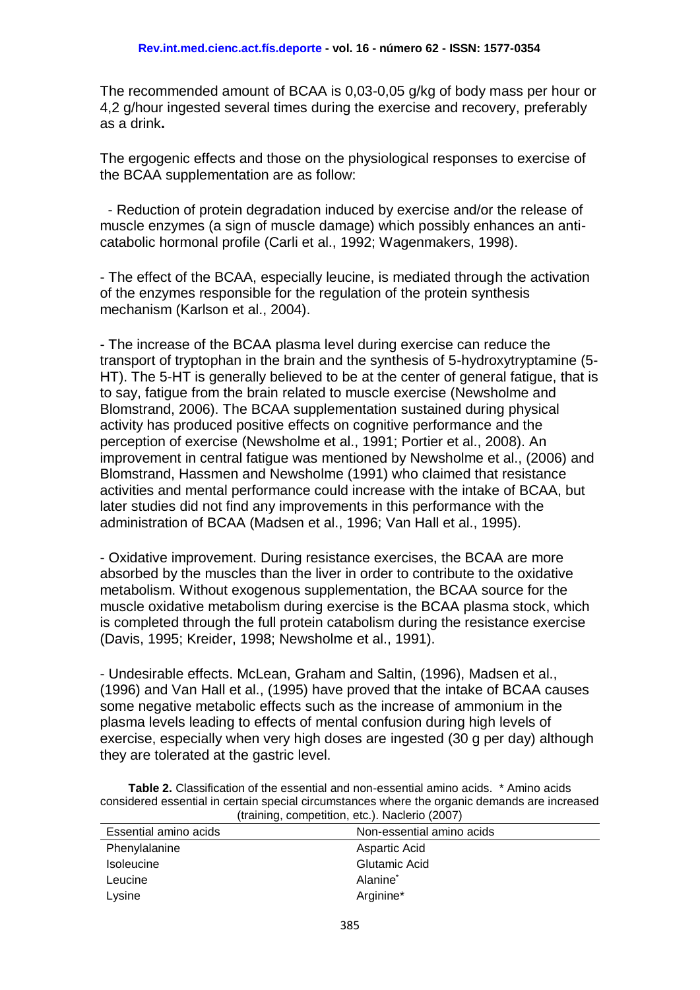The recommended amount of BCAA is 0,03-0,05 g/kg of body mass per hour or 4,2 g/hour ingested several times during the exercise and recovery, preferably as a drink**.**

The ergogenic effects and those on the physiological responses to exercise of the BCAA supplementation are as follow:

- Reduction of protein degradation induced by exercise and/or the release of muscle enzymes (a sign of muscle damage) which possibly enhances an anticatabolic hormonal profile (Carli et al., 1992; Wagenmakers, 1998).

- The effect of the BCAA, especially leucine, is mediated through the activation of the enzymes responsible for the regulation of the protein synthesis mechanism (Karlson et al., 2004).

- The increase of the BCAA plasma level during exercise can reduce the transport of tryptophan in the brain and the synthesis of 5-hydroxytryptamine (5- HT). The 5-HT is generally believed to be at the center of general fatigue, that is to say, fatigue from the brain related to muscle exercise (Newsholme and Blomstrand, 2006). The BCAA supplementation sustained during physical activity has produced positive effects on cognitive performance and the perception of exercise (Newsholme et al., 1991; Portier et al., 2008). An improvement in central fatigue was mentioned by Newsholme et al., (2006) and Blomstrand, Hassmen and Newsholme (1991) who claimed that resistance activities and mental performance could increase with the intake of BCAA, but later studies did not find any improvements in this performance with the administration of BCAA (Madsen et al., 1996; Van Hall et al., 1995).

- Oxidative improvement. During resistance exercises, the BCAA are more absorbed by the muscles than the liver in order to contribute to the oxidative metabolism. Without exogenous supplementation, the BCAA source for the muscle oxidative metabolism during exercise is the BCAA plasma stock, which is completed through the full protein catabolism during the resistance exercise (Davis, 1995; Kreider, 1998; Newsholme et al., 1991).

- Undesirable effects. McLean, Graham and Saltin, (1996), Madsen et al., (1996) and Van Hall et al., (1995) have proved that the intake of BCAA causes some negative metabolic effects such as the increase of ammonium in the plasma levels leading to effects of mental confusion during high levels of exercise, especially when very high doses are ingested (30 g per day) although they are tolerated at the gastric level.

**Table 2.** Classification of the essential and non-essential amino acids. \* Amino acids considered essential in certain special circumstances where the organic demands are increased (training, competition, etc.). Naclerio (2007)

| Essential amino acids | Non-essential amino acids |  |  |
|-----------------------|---------------------------|--|--|
| Phenylalanine         | Aspartic Acid             |  |  |
| <b>Isoleucine</b>     | Glutamic Acid             |  |  |
| Leucine               | Alanine <sup>*</sup>      |  |  |
| Lysine                | Arginine*                 |  |  |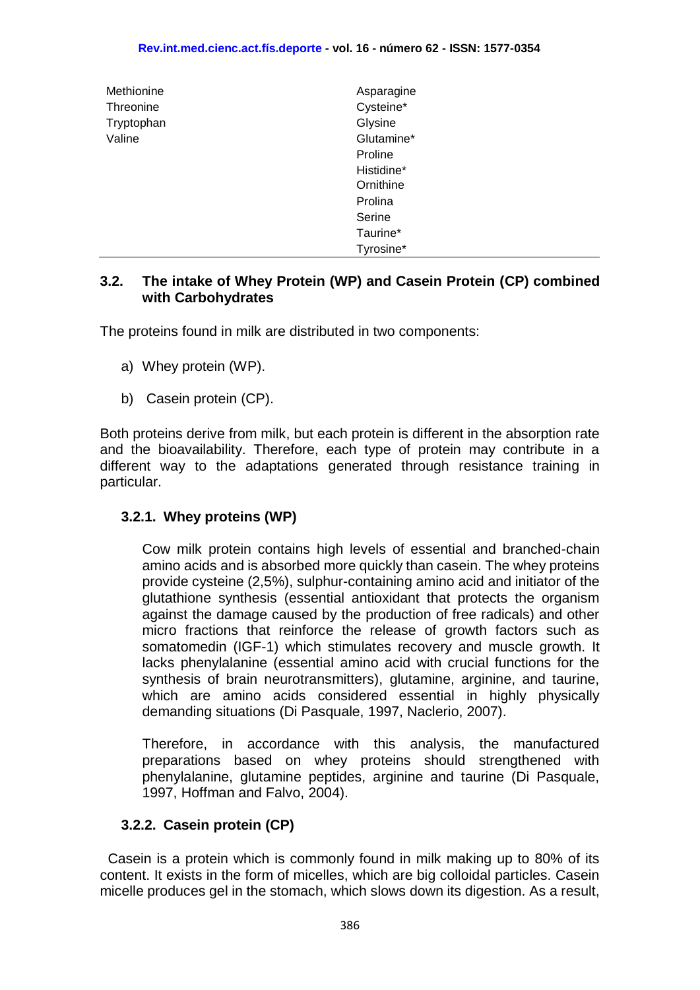| Methionine | Asparagine |
|------------|------------|
| Threonine  | Cysteine*  |
| Tryptophan | Glysine    |
| Valine     | Glutamine* |
|            | Proline    |
|            | Histidine* |
|            | Ornithine  |
|            | Prolina    |
|            | Serine     |
|            | Taurine*   |
|            | Tyrosine*  |

#### **3.2. The intake of Whey Protein (WP) and Casein Protein (CP) combined with Carbohydrates**

The proteins found in milk are distributed in two components:

- a) Whey protein (WP).
- b) Casein protein (CP).

Both proteins derive from milk, but each protein is different in the absorption rate and the bioavailability. Therefore, each type of protein may contribute in a different way to the adaptations generated through resistance training in particular.

#### **3.2.1. Whey proteins (WP)**

Cow milk protein contains high levels of essential and branched-chain amino acids and is absorbed more quickly than casein. The whey proteins provide cysteine (2,5%), sulphur-containing amino acid and initiator of the glutathione synthesis (essential antioxidant that protects the organism against the damage caused by the production of free radicals) and other micro fractions that reinforce the release of growth factors such as somatomedin (IGF-1) which stimulates recovery and muscle growth. It lacks phenylalanine (essential amino acid with crucial functions for the synthesis of brain neurotransmitters), glutamine, arginine, and taurine, which are amino acids considered essential in highly physically demanding situations (Di Pasquale, 1997, Naclerio, 2007).

Therefore, in accordance with this analysis, the manufactured preparations based on whey proteins should strengthened with phenylalanine, glutamine peptides, arginine and taurine (Di Pasquale, 1997, Hoffman and Falvo, 2004).

#### **3.2.2. Casein protein (CP)**

 Casein is a protein which is commonly found in milk making up to 80% of its content. It exists in the form of micelles, which are big colloidal particles. Casein micelle produces gel in the stomach, which slows down its digestion. As a result,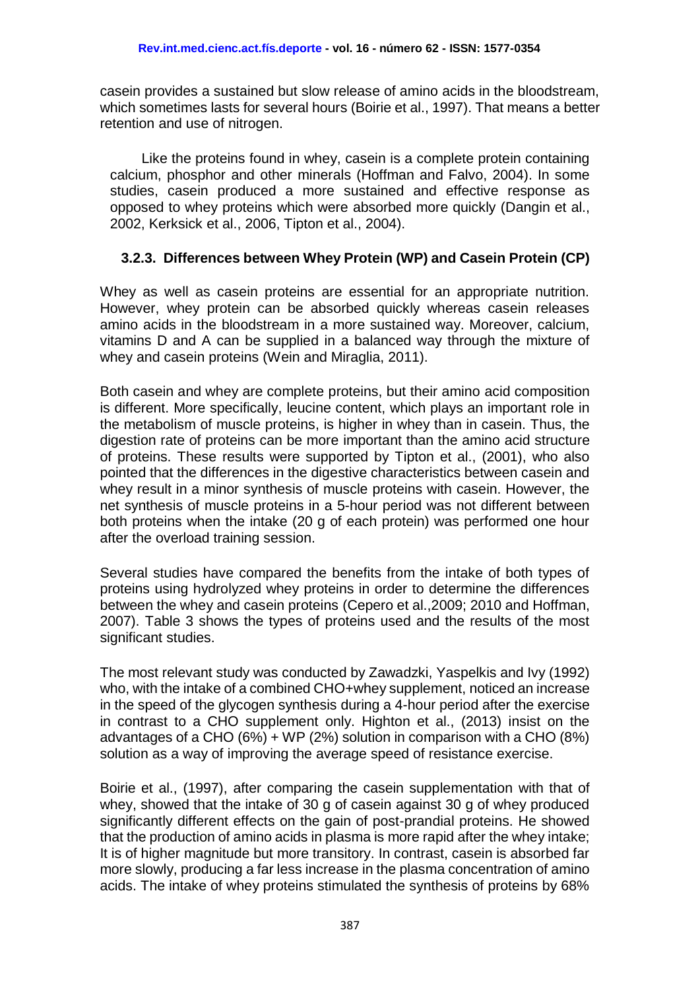casein provides a sustained but slow release of amino acids in the bloodstream, which sometimes lasts for several hours (Boirie et al., 1997). That means a better retention and use of nitrogen.

Like the proteins found in whey, casein is a complete protein containing calcium, phosphor and other minerals (Hoffman and Falvo, 2004). In some studies, casein produced a more sustained and effective response as opposed to whey proteins which were absorbed more quickly (Dangin et al., 2002, Kerksick et al., 2006, Tipton et al., 2004).

## **3.2.3. Differences between Whey Protein (WP) and Casein Protein (CP)**

Whey as well as casein proteins are essential for an appropriate nutrition. However, whey protein can be absorbed quickly whereas casein releases amino acids in the bloodstream in a more sustained way. Moreover, calcium, vitamins D and A can be supplied in a balanced way through the mixture of whey and casein proteins (Wein and Miraglia, 2011).

Both casein and whey are complete proteins, but their amino acid composition is different. More specifically, leucine content, which plays an important role in the metabolism of muscle proteins, is higher in whey than in casein. Thus, the digestion rate of proteins can be more important than the amino acid structure of proteins. These results were supported by Tipton et al., (2001), who also pointed that the differences in the digestive characteristics between casein and whey result in a minor synthesis of muscle proteins with casein. However, the net synthesis of muscle proteins in a 5-hour period was not different between both proteins when the intake (20 g of each protein) was performed one hour after the overload training session.

Several studies have compared the benefits from the intake of both types of proteins using hydrolyzed whey proteins in order to determine the differences between the whey and casein proteins (Cepero et al.,2009; 2010 and Hoffman, 2007). Table 3 shows the types of proteins used and the results of the most significant studies.

The most relevant study was conducted by Zawadzki, Yaspelkis and Ivy (1992) who, with the intake of a combined CHO+whey supplement, noticed an increase in the speed of the glycogen synthesis during a 4-hour period after the exercise in contrast to a CHO supplement only. Highton et al., (2013) insist on the advantages of a CHO (6%) + WP (2%) solution in comparison with a CHO (8%) solution as a way of improving the average speed of resistance exercise.

Boirie et al., (1997), after comparing the casein supplementation with that of whey, showed that the intake of 30 g of casein against 30 g of whey produced significantly different effects on the gain of post-prandial proteins. He showed that the production of amino acids in plasma is more rapid after the whey intake; It is of higher magnitude but more transitory. In contrast, casein is absorbed far more slowly, producing a far less increase in the plasma concentration of amino acids. The intake of whey proteins stimulated the synthesis of proteins by 68%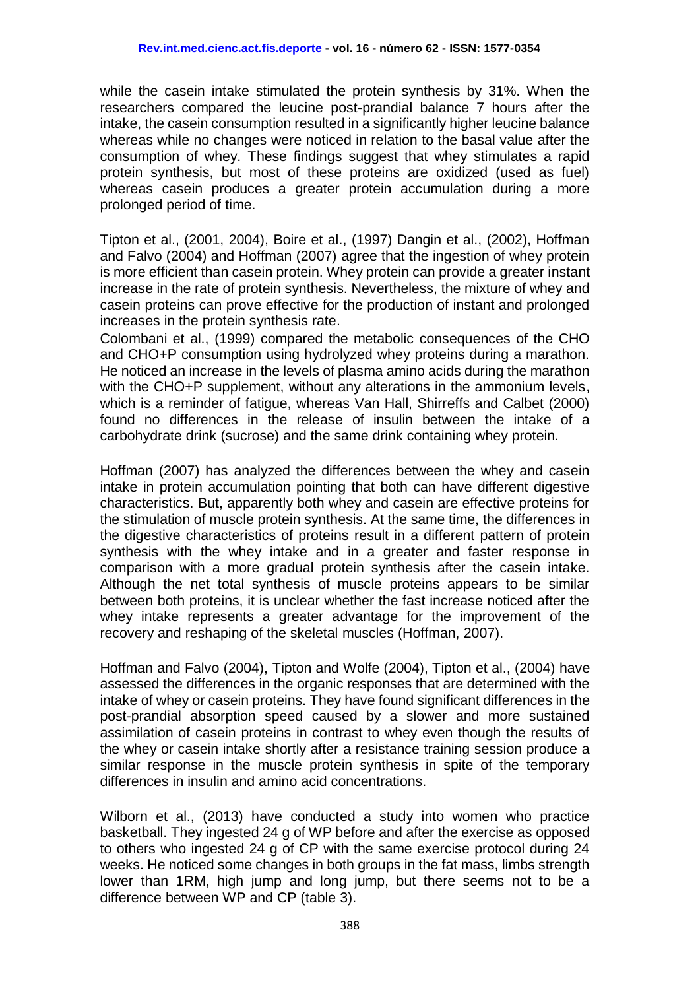while the casein intake stimulated the protein synthesis by 31%. When the researchers compared the leucine post-prandial balance 7 hours after the intake, the casein consumption resulted in a significantly higher leucine balance whereas while no changes were noticed in relation to the basal value after the consumption of whey. These findings suggest that whey stimulates a rapid protein synthesis, but most of these proteins are oxidized (used as fuel) whereas casein produces a greater protein accumulation during a more prolonged period of time.

Tipton et al., (2001, 2004), Boire et al., (1997) Dangin et al., (2002), Hoffman and Falvo (2004) and Hoffman (2007) agree that the ingestion of whey protein is more efficient than casein protein. Whey protein can provide a greater instant increase in the rate of protein synthesis. Nevertheless, the mixture of whey and casein proteins can prove effective for the production of instant and prolonged increases in the protein synthesis rate.

Colombani et al., (1999) compared the metabolic consequences of the CHO and CHO+P consumption using hydrolyzed whey proteins during a marathon. He noticed an increase in the levels of plasma amino acids during the marathon with the CHO+P supplement, without any alterations in the ammonium levels, which is a reminder of fatigue, whereas Van Hall, Shirreffs and Calbet (2000) found no differences in the release of insulin between the intake of a carbohydrate drink (sucrose) and the same drink containing whey protein.

Hoffman (2007) has analyzed the differences between the whey and casein intake in protein accumulation pointing that both can have different digestive characteristics. But, apparently both whey and casein are effective proteins for the stimulation of muscle protein synthesis. At the same time, the differences in the digestive characteristics of proteins result in a different pattern of protein synthesis with the whey intake and in a greater and faster response in comparison with a more gradual protein synthesis after the casein intake. Although the net total synthesis of muscle proteins appears to be similar between both proteins, it is unclear whether the fast increase noticed after the whey intake represents a greater advantage for the improvement of the recovery and reshaping of the skeletal muscles (Hoffman, 2007).

Hoffman and Falvo (2004), Tipton and Wolfe (2004), Tipton et al., (2004) have assessed the differences in the organic responses that are determined with the intake of whey or casein proteins. They have found significant differences in the post-prandial absorption speed caused by a slower and more sustained assimilation of casein proteins in contrast to whey even though the results of the whey or casein intake shortly after a resistance training session produce a similar response in the muscle protein synthesis in spite of the temporary differences in insulin and amino acid concentrations.

Wilborn et al., (2013) have conducted a study into women who practice basketball. They ingested 24 g of WP before and after the exercise as opposed to others who ingested 24 g of CP with the same exercise protocol during 24 weeks. He noticed some changes in both groups in the fat mass, limbs strength lower than 1RM, high jump and long jump, but there seems not to be a difference between WP and CP (table 3).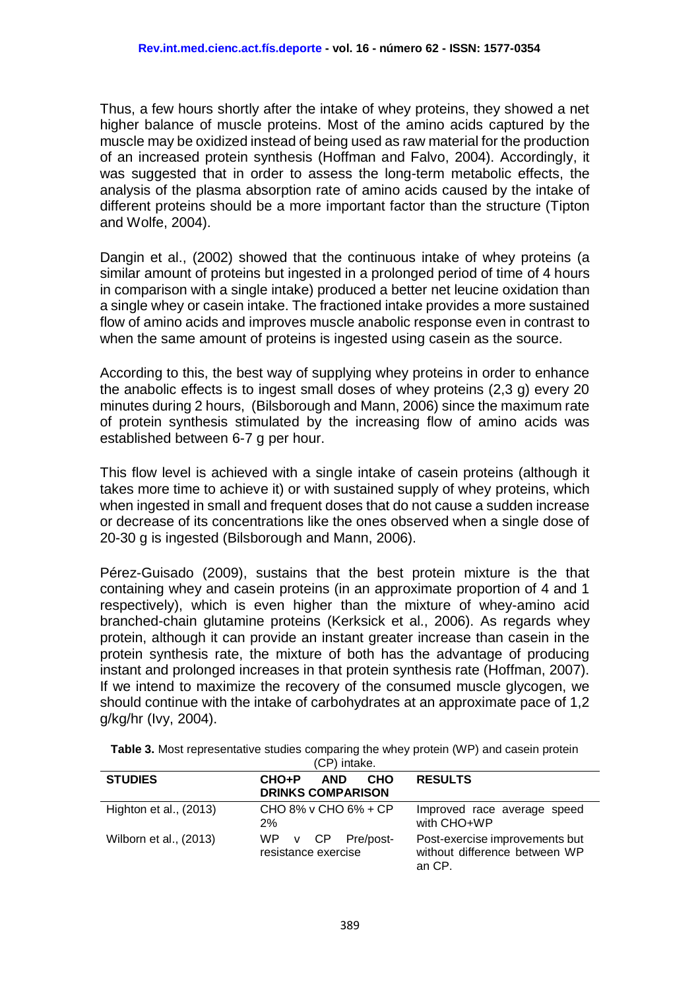Thus, a few hours shortly after the intake of whey proteins, they showed a net higher balance of muscle proteins. Most of the amino acids captured by the muscle may be oxidized instead of being used as raw material for the production of an increased protein synthesis (Hoffman and Falvo, 2004). Accordingly, it was suggested that in order to assess the long-term metabolic effects, the analysis of the plasma absorption rate of amino acids caused by the intake of different proteins should be a more important factor than the structure (Tipton and Wolfe, 2004).

Dangin et al., (2002) showed that the continuous intake of whey proteins (a similar amount of proteins but ingested in a prolonged period of time of 4 hours in comparison with a single intake) produced a better net leucine oxidation than a single whey or casein intake. The fractioned intake provides a more sustained flow of amino acids and improves muscle anabolic response even in contrast to when the same amount of proteins is ingested using casein as the source.

According to this, the best way of supplying whey proteins in order to enhance the anabolic effects is to ingest small doses of whey proteins (2,3 g) every 20 minutes during 2 hours, (Bilsborough and Mann, 2006) since the maximum rate of protein synthesis stimulated by the increasing flow of amino acids was established between 6-7 g per hour.

This flow level is achieved with a single intake of casein proteins (although it takes more time to achieve it) or with sustained supply of whey proteins, which when ingested in small and frequent doses that do not cause a sudden increase or decrease of its concentrations like the ones observed when a single dose of 20-30 g is ingested (Bilsborough and Mann, 2006).

Pérez-Guisado (2009), sustains that the best protein mixture is the that containing whey and casein proteins (in an approximate proportion of 4 and 1 respectively), which is even higher than the mixture of whey-amino acid branched-chain glutamine proteins (Kerksick et al., 2006). As regards whey protein, although it can provide an instant greater increase than casein in the protein synthesis rate, the mixture of both has the advantage of producing instant and prolonged increases in that protein synthesis rate (Hoffman, 2007). If we intend to maximize the recovery of the consumed muscle glycogen, we should continue with the intake of carbohydrates at an approximate pace of 1,2 g/kg/hr (Ivy, 2004).

| (CP) intake.           |                                                               |                                                                           |  |
|------------------------|---------------------------------------------------------------|---------------------------------------------------------------------------|--|
| <b>STUDIES</b>         | CHO+P<br><b>AND</b><br><b>CHO</b><br><b>DRINKS COMPARISON</b> | <b>RESULTS</b>                                                            |  |
| Highton et al., (2013) | CHO 8% v CHO 6% + CP<br>2%                                    | Improved race average speed<br>with CHO+WP                                |  |
| Wilborn et al., (2013) | WP v CP Pre/post-<br>resistance exercise                      | Post-exercise improvements but<br>without difference between WP<br>an CP. |  |

**Table 3.** Most representative studies comparing the whey protein (WP) and casein protein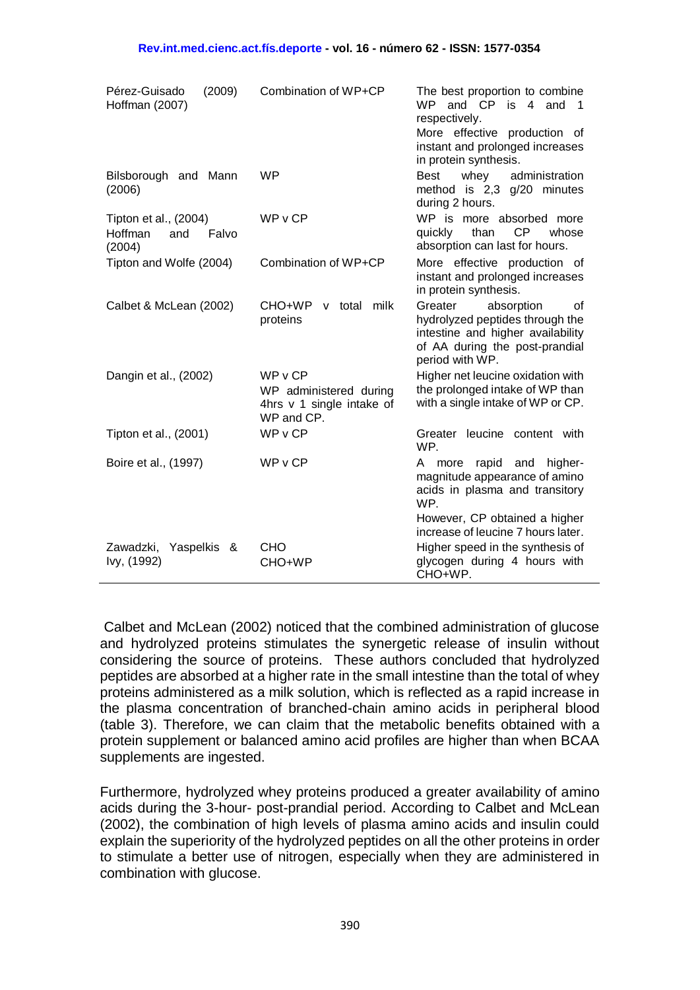| Pérez-Guisado<br>(2009)<br>Hoffman (2007)                  | Combination of WP+CP                                                       | The best proportion to combine<br>and CP<br><b>WP</b><br>is 4 and<br>$\overline{1}$<br>respectively.<br>More effective production of<br>instant and prolonged increases<br>in protein synthesis. |
|------------------------------------------------------------|----------------------------------------------------------------------------|--------------------------------------------------------------------------------------------------------------------------------------------------------------------------------------------------|
| Bilsborough and Mann<br>(2006)                             | <b>WP</b>                                                                  | <b>Best</b><br>whey<br>administration<br>method is 2,3 g/20 minutes<br>during 2 hours.                                                                                                           |
| Tipton et al., (2004)<br>Hoffman<br>Falvo<br>and<br>(2004) | WPvCP                                                                      | WP is more absorbed more<br>CP<br>quickly<br>than<br>whose<br>absorption can last for hours.                                                                                                     |
| Tipton and Wolfe (2004)                                    | Combination of WP+CP                                                       | More effective production of<br>instant and prolonged increases<br>in protein synthesis.                                                                                                         |
| Calbet & McLean (2002)                                     | CHO+WP<br>v total milk<br>proteins                                         | Greater<br>absorption<br>οf<br>hydrolyzed peptides through the<br>intestine and higher availability<br>of AA during the post-prandial<br>period with WP.                                         |
| Dangin et al., (2002)                                      | WPvCP<br>WP administered during<br>4hrs v 1 single intake of<br>WP and CP. | Higher net leucine oxidation with<br>the prolonged intake of WP than<br>with a single intake of WP or CP.                                                                                        |
| Tipton et al., (2001)                                      | WPvCP                                                                      | Greater leucine content with<br>WP.                                                                                                                                                              |
| Boire et al., (1997)                                       | WPvCP                                                                      | rapid and<br>higher-<br>A<br>more<br>magnitude appearance of amino<br>acids in plasma and transitory<br>WP.<br>However, CP obtained a higher<br>increase of leucine 7 hours later.               |
| Zawadzki, Yaspelkis &<br>Ivy, (1992)                       | <b>CHO</b><br>CHO+WP                                                       | Higher speed in the synthesis of<br>glycogen during 4 hours with<br>CHO+WP.                                                                                                                      |

Calbet and McLean (2002) noticed that the combined administration of glucose and hydrolyzed proteins stimulates the synergetic release of insulin without considering the source of proteins. These authors concluded that hydrolyzed peptides are absorbed at a higher rate in the small intestine than the total of whey proteins administered as a milk solution, which is reflected as a rapid increase in the plasma concentration of branched-chain amino acids in peripheral blood (table 3). Therefore, we can claim that the metabolic benefits obtained with a protein supplement or balanced amino acid profiles are higher than when BCAA supplements are ingested.

Furthermore, hydrolyzed whey proteins produced a greater availability of amino acids during the 3-hour- post-prandial period. According to Calbet and McLean (2002), the combination of high levels of plasma amino acids and insulin could explain the superiority of the hydrolyzed peptides on all the other proteins in order to stimulate a better use of nitrogen, especially when they are administered in combination with glucose.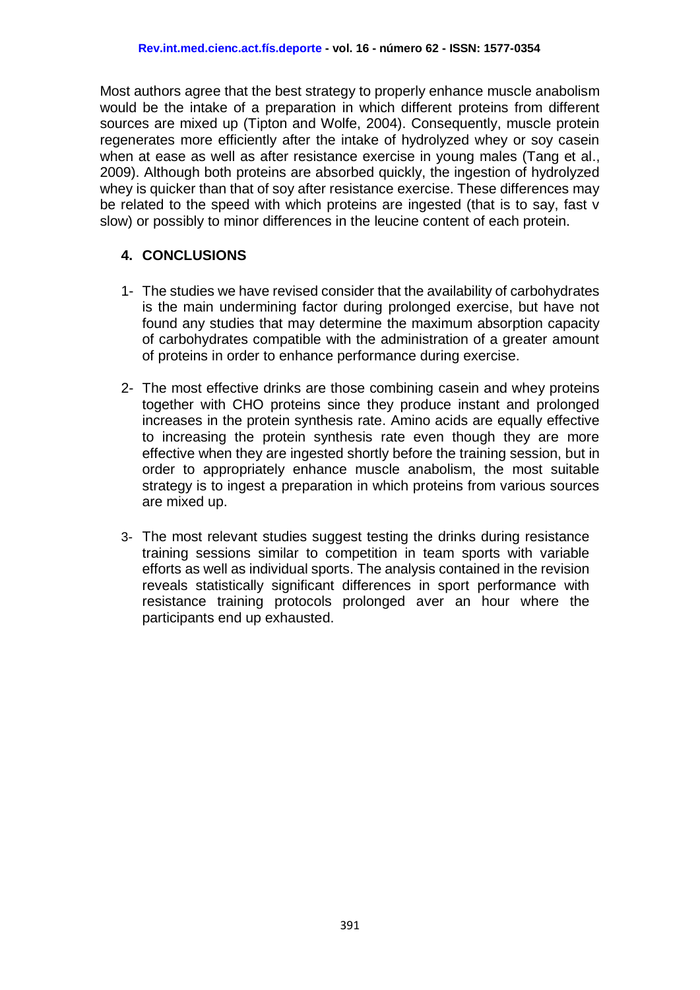Most authors agree that the best strategy to properly enhance muscle anabolism would be the intake of a preparation in which different proteins from different sources are mixed up (Tipton and Wolfe, 2004). Consequently, muscle protein regenerates more efficiently after the intake of hydrolyzed whey or soy casein when at ease as well as after resistance exercise in young males (Tang et al., 2009). Although both proteins are absorbed quickly, the ingestion of hydrolyzed whey is quicker than that of soy after resistance exercise. These differences may be related to the speed with which proteins are ingested (that is to say, fast v slow) or possibly to minor differences in the leucine content of each protein.

### **4. CONCLUSIONS**

- 1- The studies we have revised consider that the availability of carbohydrates is the main undermining factor during prolonged exercise, but have not found any studies that may determine the maximum absorption capacity of carbohydrates compatible with the administration of a greater amount of proteins in order to enhance performance during exercise.
- 2- The most effective drinks are those combining casein and whey proteins together with CHO proteins since they produce instant and prolonged increases in the protein synthesis rate. Amino acids are equally effective to increasing the protein synthesis rate even though they are more effective when they are ingested shortly before the training session, but in order to appropriately enhance muscle anabolism, the most suitable strategy is to ingest a preparation in which proteins from various sources are mixed up.
- 3- The most relevant studies suggest testing the drinks during resistance training sessions similar to competition in team sports with variable efforts as well as individual sports. The analysis contained in the revision reveals statistically significant differences in sport performance with resistance training protocols prolonged aver an hour where the participants end up exhausted.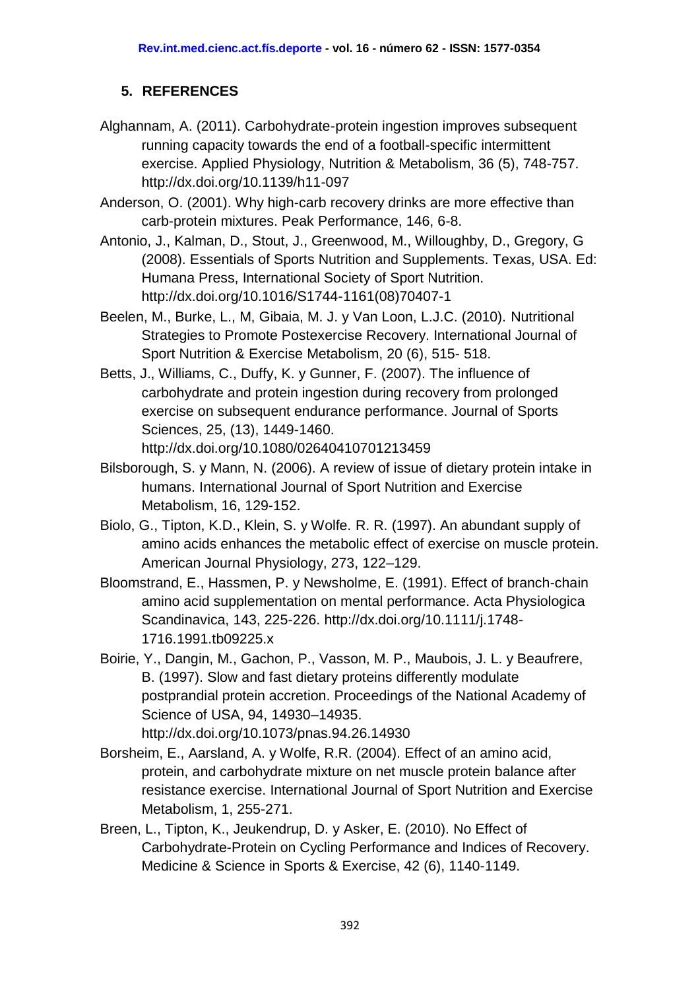# **5. REFERENCES**

- Alghannam, A. (2011). Carbohydrate-protein ingestion improves subsequent running capacity towards the end of a football-specific intermittent exercise. Applied Physiology, Nutrition & Metabolism, 36 (5), 748-757. <http://dx.doi.org/10.1139/h11-097>
- Anderson, O. (2001). Why high-carb recovery drinks are more effective than carb-protein mixtures. Peak Performance, 146, 6-8.
- Antonio, J., Kalman, D., Stout, J., Greenwood, M., Willoughby, D., Gregory, G (2008). Essentials of Sports Nutrition and Supplements. Texas, USA. Ed: Humana Press, International Society of Sport Nutrition. [http://dx.doi.org/10.1016/S1744-1161\(08\)70407-1](http://dx.doi.org/10.1016/S1744-1161(08)70407-1)
- Beelen, M., Burke, L., M, Gibaia, M. J. y Van Loon, L.J.C. (2010). Nutritional Strategies to Promote Postexercise Recovery. International Journal of Sport Nutrition & Exercise Metabolism, 20 (6), 515- 518.
- Betts, J., Williams, C., Duffy, K. y Gunner, F. (2007). The influence of carbohydrate and protein ingestion during recovery from prolonged exercise on subsequent endurance performance. Journal of Sports Sciences, 25, (13), 1449-1460. <http://dx.doi.org/10.1080/02640410701213459>
- Bilsborough, S. y Mann, N. (2006). A review of issue of dietary protein intake in humans. International Journal of Sport Nutrition and Exercise Metabolism, 16, 129-152.
- Biolo, G., Tipton, K.D., Klein, S. y Wolfe. R. R. (1997). An abundant supply of amino acids enhances the metabolic effect of exercise on muscle protein. American Journal Physiology, 273, 122–129.
- Bloomstrand, E., Hassmen, P. y Newsholme, E. (1991). Effect of branch-chain amino acid supplementation on mental performance. Acta Physiologica Scandinavica, 143, 225-226. [http://dx.doi.org/10.1111/j.1748-](http://dx.doi.org/10.1111/j.1748-1716.1991.tb09225.x) [1716.1991.tb09225.x](http://dx.doi.org/10.1111/j.1748-1716.1991.tb09225.x)
- Boirie, Y., Dangin, M., Gachon, P., Vasson, M. P., Maubois, J. L. y Beaufrere, B. (1997). Slow and fast dietary proteins differently modulate postprandial protein accretion. Proceedings of the National Academy of Science of USA, 94, 14930–14935. <http://dx.doi.org/10.1073/pnas.94.26.14930>
- Borsheim, E., Aarsland, A. y Wolfe, R.R. (2004). Effect of an amino acid, protein, and carbohydrate mixture on net muscle protein balance after resistance exercise. International Journal of Sport Nutrition and Exercise Metabolism, 1, 255-271.
- Breen, L., Tipton, K., Jeukendrup, D. y Asker, E. (2010). No Effect of Carbohydrate-Protein on Cycling Performance and Indices of Recovery. Medicine & Science in Sports & Exercise, 42 (6), 1140-1149.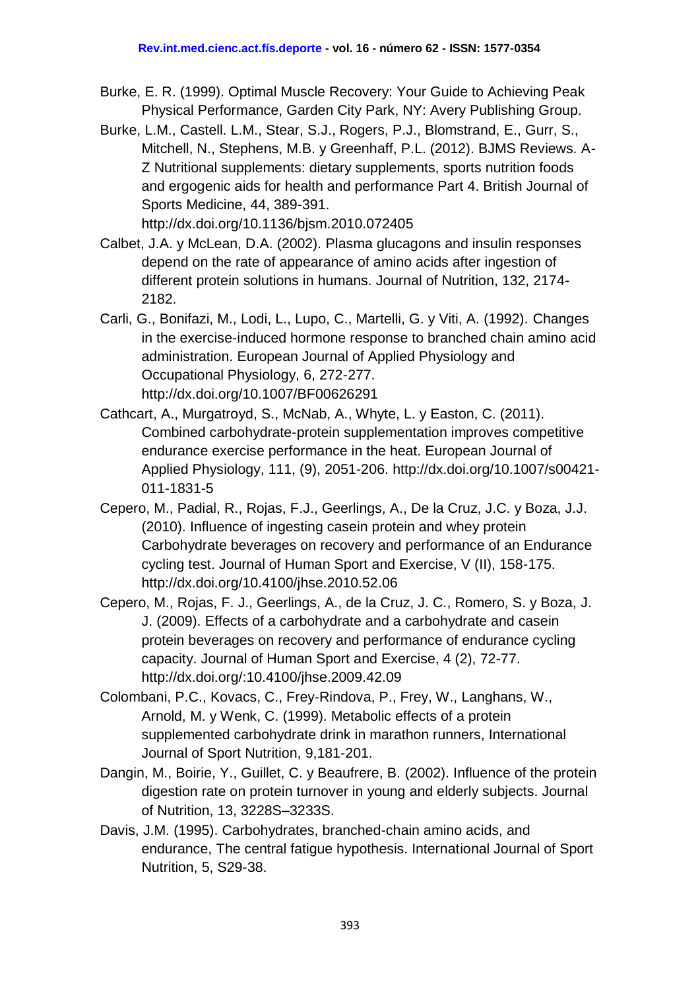- Burke, E. R. (1999). Optimal Muscle Recovery: Your Guide to Achieving Peak Physical Performance, Garden City Park, NY: Avery Publishing Group.
- Burke, L.M., Castell. L.M., Stear, S.J., Rogers, P.J., Blomstrand, E., Gurr, S., Mitchell, N., Stephens, M.B. y Greenhaff, P.L. (2012). BJMS Reviews. A-Z Nutritional supplements: dietary supplements, sports nutrition foods and ergogenic aids for health and performance Part 4. British Journal of Sports Medicine, 44, 389-391.

<http://dx.doi.org/10.1136/bjsm.2010.072405>

- Calbet, J.A. y McLean, D.A. (2002). Plasma glucagons and insulin responses depend on the rate of appearance of amino acids after ingestion of different protein solutions in humans. Journal of Nutrition, 132, 2174- 2182.
- Carli, G., Bonifazi, M., Lodi, L., Lupo, C., Martelli, G. y Viti, A. (1992). Changes in the exercise-induced hormone response to branched chain amino acid administration. European Journal of Applied Physiology and Occupational Physiology, 6, 272-277. <http://dx.doi.org/10.1007/BF00626291>
- Cathcart, A., Murgatroyd, S., McNab, A., Whyte, L. y Easton, C. (2011). Combined carbohydrate-protein supplementation improves competitive endurance exercise performance in the heat. European Journal of Applied Physiology, 111, (9), 2051-206. [http://dx.doi.org/10.1007/s00421-](http://dx.doi.org/10.1007/s00421-011-1831-5) [011-1831-5](http://dx.doi.org/10.1007/s00421-011-1831-5)
- Cepero, M., Padial, R., Rojas, F.J., Geerlings, A., De la Cruz, J.C. y Boza, J.J. (2010). Influence of ingesting casein protein and whey protein Carbohydrate beverages on recovery and performance of an Endurance cycling test. Journal of Human Sport and Exercise, V (II), 158-175. <http://dx.doi.org/10.4100/jhse.2010.52.06>
- Cepero, M., Rojas, F. J., Geerlings, A., de la Cruz, J. C., Romero, S. y Boza, J. J. (2009). Effects of a carbohydrate and a carbohydrate and casein protein beverages on recovery and performance of endurance cycling capacity. Journal of Human Sport and Exercise, 4 (2), 72-77. <http://dx.doi.org/:10.4100/jhse.2009.42.09>
- Colombani, P.C., Kovacs, C., Frey-Rindova, P., Frey, W., Langhans, W., Arnold, M. y Wenk, C. (1999). Metabolic effects of a protein supplemented carbohydrate drink in marathon runners, International Journal of Sport Nutrition, 9,181-201.
- Dangin, M., Boirie, Y., Guillet, C. y Beaufrere, B. (2002). Influence of the protein digestion rate on protein turnover in young and elderly subjects. Journal of Nutrition, 13, 3228S–3233S.
- Davis, J.M. (1995). Carbohydrates, branched-chain amino acids, and endurance, The central fatigue hypothesis. International Journal of Sport Nutrition, 5, S29-38.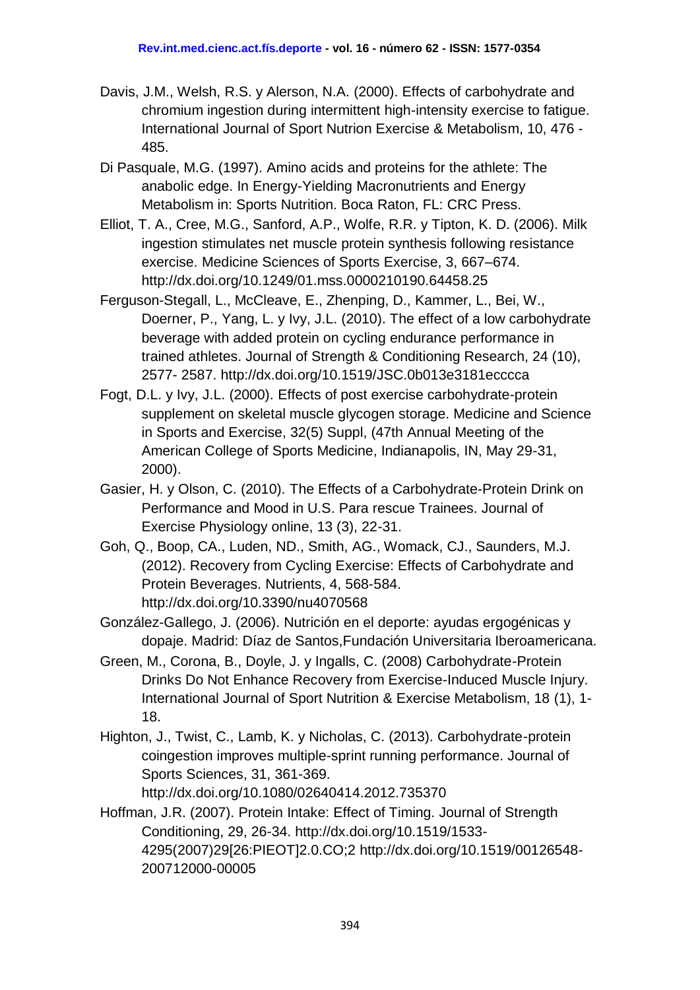- Davis, J.M., Welsh, R.S. y Alerson, N.A. (2000). Effects of carbohydrate and chromium ingestion during intermittent high-intensity exercise to fatigue. International Journal of Sport Nutrion Exercise & Metabolism, 10, 476 - 485.
- Di Pasquale, M.G. (1997). Amino acids and proteins for the athlete: The anabolic edge. In Energy-Yielding Macronutrients and Energy Metabolism in: Sports Nutrition. Boca Raton, FL: CRC Press.
- Elliot, T. A., Cree, M.G., Sanford, A.P., Wolfe, R.R. y Tipton, K. D. (2006). Milk ingestion stimulates net muscle protein synthesis following resistance exercise. Medicine Sciences of Sports Exercise, 3, 667–674. <http://dx.doi.org/10.1249/01.mss.0000210190.64458.25>
- Ferguson-Stegall, L., McCleave, E., Zhenping, D., Kammer, L., Bei, W., Doerner, P., Yang, L. y Ivy, J.L. (2010). The effect of a low carbohydrate beverage with added protein on cycling endurance performance in trained athletes. Journal of Strength & Conditioning Research, 24 (10), 2577- 2587. <http://dx.doi.org/10.1519/JSC.0b013e3181ecccca>
- Fogt, D.L. y Ivy, J.L. (2000). Effects of post exercise carbohydrate-protein supplement on skeletal muscle glycogen storage. Medicine and Science in Sports and Exercise, 32(5) Suppl, (47th Annual Meeting of the American College of Sports Medicine, Indianapolis, IN, May 29-31, 2000).
- Gasier, H. y Olson, C. (2010). The Effects of a Carbohydrate-Protein Drink on Performance and Mood in U.S. Para rescue Trainees. Journal of Exercise Physiology online, 13 (3), 22-31.
- Goh, Q., Boop, CA., Luden, ND., Smith, AG., Womack, CJ., Saunders, M.J. (2012). Recovery from Cycling Exercise: Effects of Carbohydrate and Protein Beverages. Nutrients, 4, 568-584. <http://dx.doi.org/10.3390/nu4070568>
- González-Gallego, J. (2006). Nutrición en el deporte: ayudas ergogénicas y dopaje. Madrid: Díaz de Santos,Fundación Universitaria Iberoamericana.
- Green, M., Corona, B., Doyle, J. y Ingalls, C. (2008) Carbohydrate-Protein Drinks Do Not Enhance Recovery from Exercise-Induced Muscle Injury. International Journal of Sport Nutrition & Exercise Metabolism, 18 (1), 1- 18.
- Highton, J., Twist, C., Lamb, K. y Nicholas, C. (2013). Carbohydrate-protein coingestion improves multiple-sprint running performance. Journal of Sports Sciences, 31, 361-369. <http://dx.doi.org/10.1080/02640414.2012.735370>
- Hoffman, J.R. (2007). Protein Intake: Effect of Timing. Journal of Strength Conditioning, 29, 26-34. [http://dx.doi.org/10.1519/1533-](http://dx.doi.org/10.1519/1533-4295(2007)29%5b26:PIEOT%5d2.0.CO;2) [4295\(2007\)29\[26:PIEOT\]2.0.CO;2](http://dx.doi.org/10.1519/1533-4295(2007)29%5b26:PIEOT%5d2.0.CO;2) http://dx.doi.org/10.1519/00126548- 200712000-00005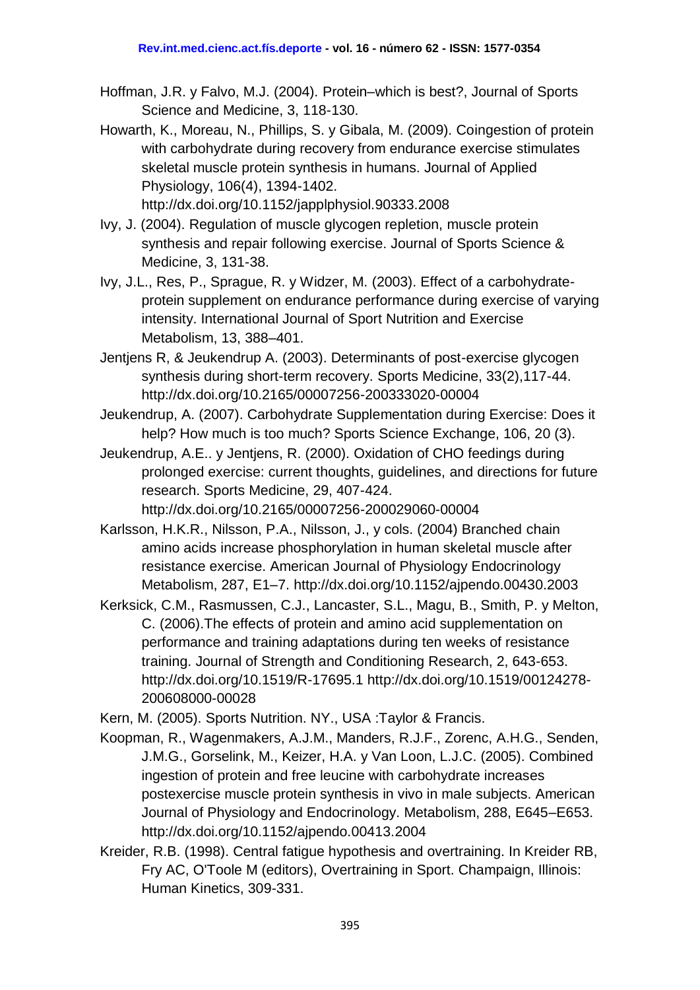- Hoffman, J.R. y Falvo, M.J. (2004). Protein–which is best?, Journal of Sports Science and Medicine, 3, 118-130.
- Howarth, K., Moreau, N., Phillips, S. y Gibala, M. (2009). Coingestion of protein with carbohydrate during recovery from endurance exercise stimulates skeletal muscle protein synthesis in humans. Journal of Applied Physiology, 106(4), 1394-1402. <http://dx.doi.org/10.1152/japplphysiol.90333.2008>
- Ivy, J. (2004). Regulation of muscle glycogen repletion, muscle protein synthesis and repair following exercise. Journal of Sports Science & Medicine, 3, 131-38.
- Ivy, J.L., Res, P., Sprague, R. y Widzer, M. (2003). Effect of a carbohydrateprotein supplement on endurance performance during exercise of varying intensity. International Journal of Sport Nutrition and Exercise Metabolism, 13, 388–401.
- Jentjens R, & Jeukendrup A. (2003). Determinants of post-exercise glycogen synthesis during short-term recovery. Sports Medicine, 33(2),117-44. <http://dx.doi.org/10.2165/00007256-200333020-00004>
- Jeukendrup, A. (2007). Carbohydrate Supplementation during Exercise: Does it help? How much is too much? Sports Science Exchange, 106, 20 (3).
- Jeukendrup, A.E.. y Jentjens, R. (2000). Oxidation of CHO feedings during prolonged exercise: current thoughts, guidelines, and directions for future research. Sports Medicine, 29, 407-424. <http://dx.doi.org/10.2165/00007256-200029060-00004>
- Karlsson, H.K.R., Nilsson, P.A., Nilsson, J., y cols. (2004) Branched chain amino acids increase phosphorylation in human skeletal muscle after resistance exercise. American Journal of Physiology Endocrinology Metabolism, 287, E1–7. <http://dx.doi.org/10.1152/ajpendo.00430.2003>
- Kerksick, C.M., Rasmussen, C.J., Lancaster, S.L., Magu, B., Smith, P. y Melton, C. (2006).The effects of protein and amino acid supplementation on performance and training adaptations during ten weeks of resistance training. Journal of Strength and Conditioning Research, 2, 643-653. <http://dx.doi.org/10.1519/R-17695.1> [http://dx.doi.org/10.1519/00124278-](http://dx.doi.org/10.1519/00124278-200608000-00028) [200608000-00028](http://dx.doi.org/10.1519/00124278-200608000-00028)

Kern, M. (2005). Sports Nutrition. NY., USA :Taylor & Francis.

- Koopman, R., Wagenmakers, A.J.M., Manders, R.J.F., Zorenc, A.H.G., Senden, J.M.G., Gorselink, M., Keizer, H.A. y Van Loon, L.J.C. (2005). Combined ingestion of protein and free leucine with carbohydrate increases postexercise muscle protein synthesis in vivo in male subjects. American Journal of Physiology and Endocrinology. Metabolism, 288, E645–E653. <http://dx.doi.org/10.1152/ajpendo.00413.2004>
- Kreider, R.B. (1998). Central fatigue hypothesis and overtraining. In Kreider RB, Fry AC, O'Toole M (editors), Overtraining in Sport. Champaign, Illinois: Human Kinetics, 309-331.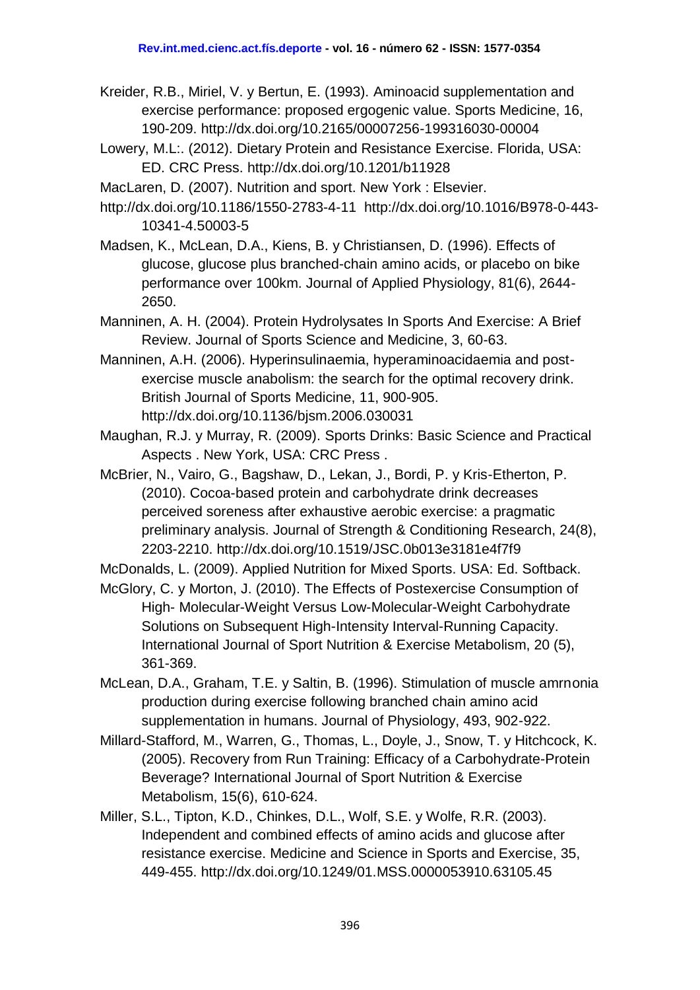- Kreider, R.B., Miriel, V. y Bertun, E. (1993). Aminoacid supplementation and exercise performance: proposed ergogenic value. Sports Medicine, 16, 190-209. <http://dx.doi.org/10.2165/00007256-199316030-00004>
- Lowery, M.L:. (2012). Dietary Protein and Resistance Exercise. Florida, USA: ED. CRC Press. <http://dx.doi.org/10.1201/b11928>

MacLaren, D. (2007). Nutrition and sport. New York : Elsevier.

<http://dx.doi.org/10.1186/1550-2783-4-11>[http://dx.doi.org/10.1016/B978-0-443-](http://dx.doi.org/10.1016/B978-0-443-10341-4.50003-5) [10341-4.50003-5](http://dx.doi.org/10.1016/B978-0-443-10341-4.50003-5)

Madsen, K., McLean, D.A., Kiens, B. y Christiansen, D. (1996). Effects of glucose, glucose plus branched-chain amino acids, or placebo on bike performance over 100km. Journal of Applied Physiology, 81(6), 2644- 2650.

Manninen, A. H. (2004). Protein Hydrolysates In Sports And Exercise: A Brief Review. Journal of Sports Science and Medicine, 3, 60-63.

Manninen, A.H. (2006). Hyperinsulinaemia, hyperaminoacidaemia and postexercise muscle anabolism: the search for the optimal recovery drink. British Journal of Sports Medicine, 11, 900-905. <http://dx.doi.org/10.1136/bjsm.2006.030031>

Maughan, R.J. y Murray, R. (2009). Sports Drinks: Basic Science and Practical Aspects . New York, USA: CRC Press .

McBrier, N., Vairo, G., Bagshaw, D., Lekan, J., Bordi, P. y Kris-Etherton, P. (2010). Cocoa-based protein and carbohydrate drink decreases perceived soreness after exhaustive aerobic exercise: a pragmatic preliminary analysis. Journal of Strength & Conditioning Research, 24(8), 2203-2210. <http://dx.doi.org/10.1519/JSC.0b013e3181e4f7f9>

McDonalds, L. (2009). Applied Nutrition for Mixed Sports. USA: Ed. Softback.

McGlory, C. y Morton, J. (2010). The Effects of Postexercise Consumption of High- Molecular-Weight Versus Low-Molecular-Weight Carbohydrate Solutions on Subsequent High-Intensity Interval-Running Capacity. International Journal of Sport Nutrition & Exercise Metabolism, 20 (5), 361-369.

McLean, D.A., Graham, T.E. y Saltin, B. (1996). Stimulation of muscle amrnonia production during exercise following branched chain amino acid supplementation in humans. Journal of Physiology, 493, 902-922.

Millard-Stafford, M., Warren, G., Thomas, L., Doyle, J., Snow, T. y Hitchcock, K. (2005). Recovery from Run Training: Efficacy of a Carbohydrate-Protein Beverage? International Journal of Sport Nutrition & Exercise Metabolism, 15(6), 610-624.

Miller, S.L., Tipton, K.D., Chinkes, D.L., Wolf, S.E. y Wolfe, R.R. (2003). Independent and combined effects of amino acids and glucose after resistance exercise. Medicine and Science in Sports and Exercise, 35, 449-455. <http://dx.doi.org/10.1249/01.MSS.0000053910.63105.45>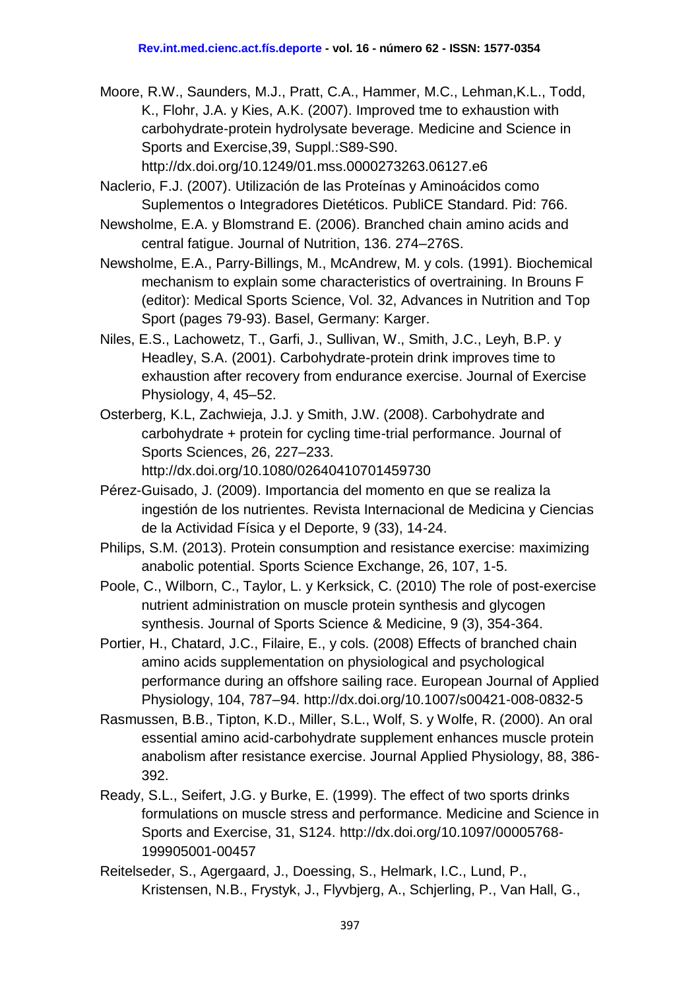Moore, R.W., Saunders, M.J., Pratt, C.A., Hammer, M.C., Lehman,K.L., Todd, K., Flohr, J.A. y Kies, A.K. (2007). Improved tme to exhaustion with carbohydrate-protein hydrolysate beverage. Medicine and Science in Sports and Exercise,39, Suppl.:S89-S90. <http://dx.doi.org/10.1249/01.mss.0000273263.06127.e6>

Naclerio, F.J. (2007). Utilización de las Proteínas y Aminoácidos como Suplementos o Integradores Dietéticos. PubliCE Standard. Pid: 766.

- Newsholme, E.A. y Blomstrand E. (2006). Branched chain amino acids and central fatigue. Journal of Nutrition, 136. 274–276S.
- Newsholme, E.A., Parry-Billings, M., McAndrew, M. y cols. (1991). Biochemical mechanism to explain some characteristics of overtraining. In Brouns F (editor): Medical Sports Science, Vol. 32, Advances in Nutrition and Top Sport (pages 79-93). Basel, Germany: Karger.
- Niles, E.S., Lachowetz, T., Garfi, J., Sullivan, W., Smith, J.C., Leyh, B.P. y Headley, S.A. (2001). Carbohydrate-protein drink improves time to exhaustion after recovery from endurance exercise. Journal of Exercise Physiology, 4, 45–52.
- Osterberg, K.L, Zachwieja, J.J. y Smith, J.W. (2008). Carbohydrate and carbohydrate + protein for cycling time-trial performance. Journal of Sports Sciences, 26, 227–233.
	- <http://dx.doi.org/10.1080/02640410701459730>
- Pérez-Guisado, J. (2009). Importancia del momento en que se realiza la ingestión de los nutrientes. Revista Internacional de Medicina y Ciencias de la Actividad Física y el Deporte, 9 (33), 14-24.
- Philips, S.M. (2013). Protein consumption and resistance exercise: maximizing anabolic potential. Sports Science Exchange, 26, 107, 1-5.
- Poole, C., Wilborn, C., Taylor, L. y Kerksick, C. (2010) The role of post-exercise nutrient administration on muscle protein synthesis and glycogen synthesis. Journal of Sports Science & Medicine, 9 (3), 354-364.
- Portier, H., Chatard, J.C., Filaire, E., y cols. (2008) Effects of branched chain amino acids supplementation on physiological and psychological performance during an offshore sailing race. European Journal of Applied Physiology, 104, 787–94. <http://dx.doi.org/10.1007/s00421-008-0832-5>
- Rasmussen, B.B., Tipton, K.D., Miller, S.L., Wolf, S. y Wolfe, R. (2000). An oral essential amino acid-carbohydrate supplement enhances muscle protein anabolism after resistance exercise. Journal Applied Physiology, 88, 386- 392.
- Ready, S.L., Seifert, J.G. y Burke, E. (1999). The effect of two sports drinks formulations on muscle stress and performance. Medicine and Science in Sports and Exercise, 31, S124. [http://dx.doi.org/10.1097/00005768-](http://dx.doi.org/10.1097/00005768-199905001-00457) [199905001-00457](http://dx.doi.org/10.1097/00005768-199905001-00457)
- Reitelseder, S., Agergaard, J., Doessing, S., Helmark, I.C., Lund, P., Kristensen, N.B., Frystyk, J., Flyvbjerg, A., Schjerling, P., Van Hall, G.,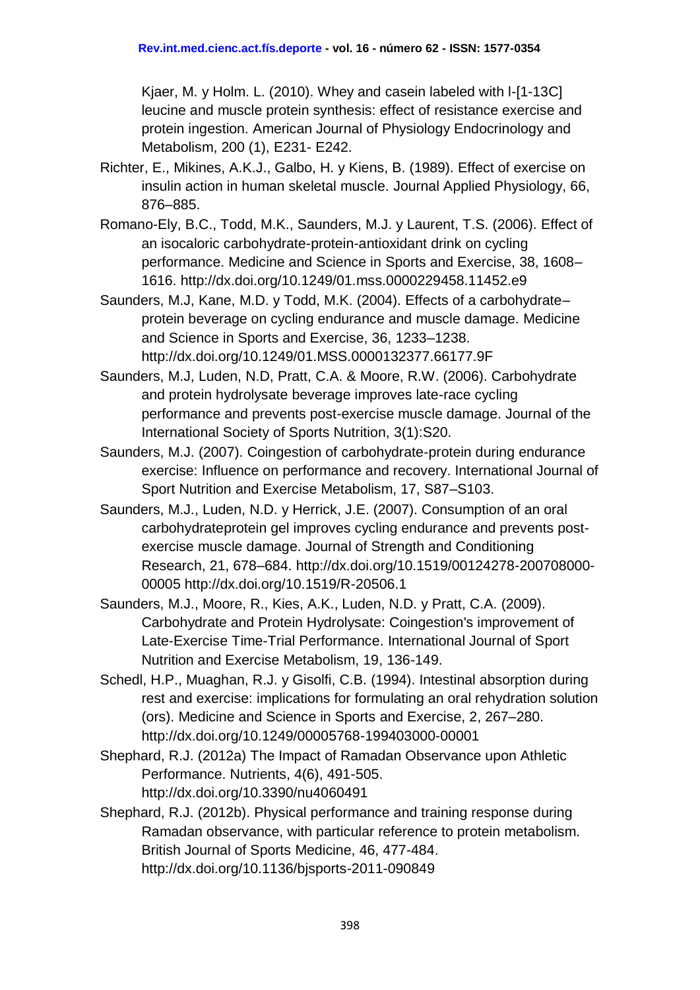Kjaer, M. y Holm. L. (2010). Whey and casein labeled with l-[1-13C] leucine and muscle protein synthesis: effect of resistance exercise and protein ingestion. American Journal of Physiology Endocrinology and Metabolism, 200 (1), E231- E242.

- Richter, E., Mikines, A.K.J., Galbo, H. y Kiens, B. (1989). Effect of exercise on insulin action in human skeletal muscle. Journal Applied Physiology, 66, 876–885.
- Romano-Ely, B.C., Todd, M.K., Saunders, M.J. y Laurent, T.S. (2006). Effect of an isocaloric carbohydrate-protein-antioxidant drink on cycling performance. Medicine and Science in Sports and Exercise, 38, 1608– 1616. <http://dx.doi.org/10.1249/01.mss.0000229458.11452.e9>
- Saunders, M.J, Kane, M.D. y Todd, M.K. (2004). Effects of a carbohydrate– protein beverage on cycling endurance and muscle damage. Medicine and Science in Sports and Exercise, 36, 1233–1238. <http://dx.doi.org/10.1249/01.MSS.0000132377.66177.9F>
- Saunders, M.J, Luden, N.D, Pratt, C.A. & Moore, R.W. (2006). Carbohydrate and protein hydrolysate beverage improves late-race cycling performance and prevents post-exercise muscle damage. Journal of the International Society of Sports Nutrition, 3(1):S20.
- Saunders, M.J. (2007). Coingestion of carbohydrate-protein during endurance exercise: Influence on performance and recovery. International Journal of Sport Nutrition and Exercise Metabolism, 17, S87–S103.
- Saunders, M.J., Luden, N.D. y Herrick, J.E. (2007). Consumption of an oral carbohydrateprotein gel improves cycling endurance and prevents postexercise muscle damage. Journal of Strength and Conditioning Research, 21, 678–684. [http://dx.doi.org/10.1519/00124278-200708000-](http://dx.doi.org/10.1519/00124278-200708000-00005) [00005](http://dx.doi.org/10.1519/00124278-200708000-00005) <http://dx.doi.org/10.1519/R-20506.1>
- Saunders, M.J., Moore, R., Kies, A.K., Luden, N.D. y Pratt, C.A. (2009). Carbohydrate and Protein Hydrolysate: Coingestion's improvement of Late-Exercise Time-Trial Performance. International Journal of Sport Nutrition and Exercise Metabolism, 19, 136-149.
- Schedl, H.P., Muaghan, R.J. y Gisolfi, C.B. (1994). Intestinal absorption during rest and exercise: implications for formulating an oral rehydration solution (ors). Medicine and Science in Sports and Exercise, 2, 267–280. <http://dx.doi.org/10.1249/00005768-199403000-00001>
- Shephard, R.J. (2012a) The Impact of Ramadan Observance upon Athletic Performance. Nutrients, 4(6), 491-505. <http://dx.doi.org/10.3390/nu4060491>
- Shephard, R.J. (2012b). Physical performance and training response during Ramadan observance, with particular reference to protein metabolism. British Journal of Sports Medicine, 46, 477-484. <http://dx.doi.org/10.1136/bjsports-2011-090849>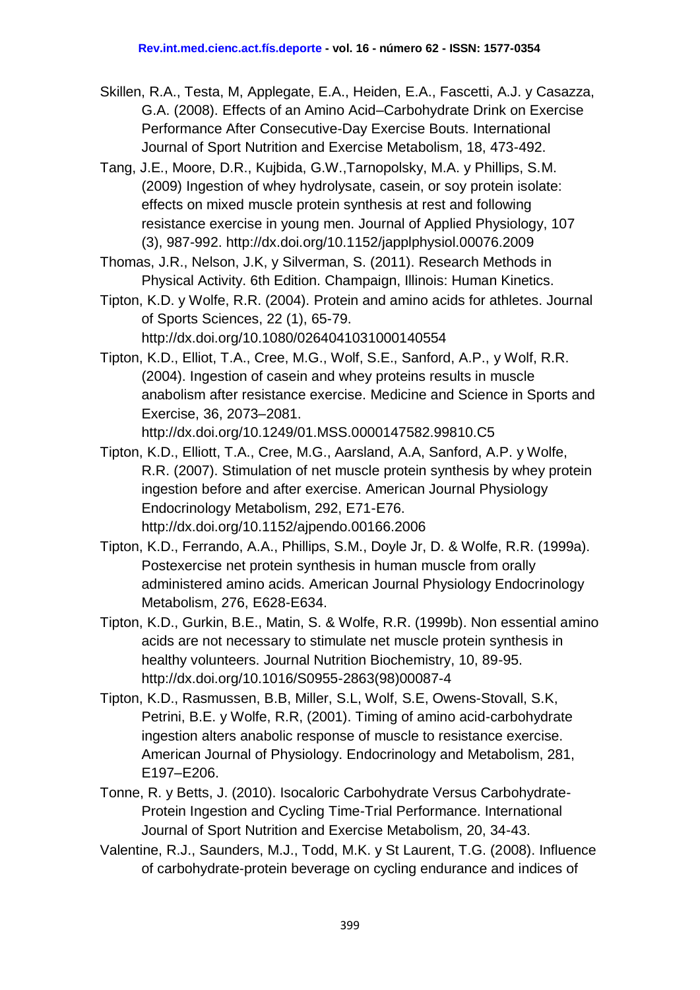- Skillen, R.A., Testa, M, Applegate, E.A., Heiden, E.A., Fascetti, A.J. y Casazza, G.A. (2008). Effects of an Amino Acid–Carbohydrate Drink on Exercise Performance After Consecutive-Day Exercise Bouts. International Journal of Sport Nutrition and Exercise Metabolism, 18, 473-492.
- Tang, J.E., Moore, D.R., Kujbida, G.W.,Tarnopolsky, M.A. y Phillips, S.M. (2009) Ingestion of whey hydrolysate, casein, or soy protein isolate: effects on mixed muscle protein synthesis at rest and following resistance exercise in young men. Journal of Applied Physiology, 107 (3), 987-992. <http://dx.doi.org/10.1152/japplphysiol.00076.2009>
- Thomas, J.R., Nelson, J.K, y Silverman, S. (2011). Research Methods in Physical Activity. 6th Edition. Champaign, Illinois: Human Kinetics.
- Tipton, K.D. y Wolfe, R.R. (2004). Protein and amino acids for athletes. Journal of Sports Sciences, 22 (1), 65-79. <http://dx.doi.org/10.1080/0264041031000140554>
- Tipton, K.D., Elliot, T.A., Cree, M.G., Wolf, S.E., Sanford, A.P., y Wolf, R.R. (2004). Ingestion of casein and whey proteins results in muscle anabolism after resistance exercise. Medicine and Science in Sports and Exercise, 36, 2073–2081. <http://dx.doi.org/10.1249/01.MSS.0000147582.99810.C5>
- Tipton, K.D., Elliott, T.A., Cree, M.G., Aarsland, A.A, Sanford, A.P. y Wolfe, R.R. (2007). Stimulation of net muscle protein synthesis by whey protein ingestion before and after exercise. American Journal Physiology Endocrinology Metabolism, 292, E71-E76. <http://dx.doi.org/10.1152/ajpendo.00166.2006>
- Tipton, K.D., Ferrando, A.A., Phillips, S.M., Doyle Jr, D. & Wolfe, R.R. (1999a). Postexercise net protein synthesis in human muscle from orally administered amino acids. American Journal Physiology Endocrinology Metabolism, 276, E628-E634.
- Tipton, K.D., Gurkin, B.E., Matin, S. & Wolfe, R.R. (1999b). Non essential amino acids are not necessary to stimulate net muscle protein synthesis in healthy volunteers. Journal Nutrition Biochemistry, 10, 89-95. [http://dx.doi.org/10.1016/S0955-2863\(98\)00087-4](http://dx.doi.org/10.1016/S0955-2863(98)00087-4)
- Tipton, K.D., Rasmussen, B.B, Miller, S.L, Wolf, S.E, Owens-Stovall, S.K, Petrini, B.E. y Wolfe, R.R, (2001). Timing of amino acid-carbohydrate ingestion alters anabolic response of muscle to resistance exercise. American Journal of Physiology. Endocrinology and Metabolism, 281, E197–E206.
- Tonne, R. y Betts, J. (2010). Isocaloric Carbohydrate Versus Carbohydrate-Protein Ingestion and Cycling Time-Trial Performance. International Journal of Sport Nutrition and Exercise Metabolism, 20, 34-43.
- Valentine, R.J., Saunders, M.J., Todd, M.K. y St Laurent, T.G. (2008). Influence of carbohydrate-protein beverage on cycling endurance and indices of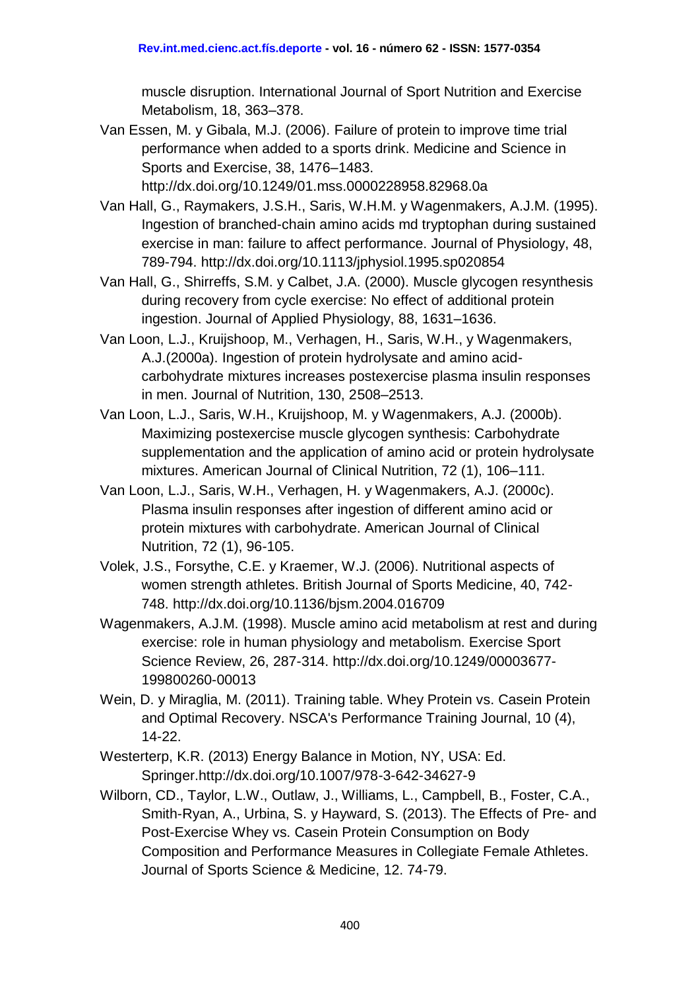muscle disruption. International Journal of Sport Nutrition and Exercise Metabolism, 18, 363–378.

Van Essen, M. y Gibala, M.J. (2006). Failure of protein to improve time trial performance when added to a sports drink. Medicine and Science in Sports and Exercise, 38, 1476–1483.

<http://dx.doi.org/10.1249/01.mss.0000228958.82968.0a>

- Van Hall, G., Raymakers, J.S.H., Saris, W.H.M. y Wagenmakers, A.J.M. (1995). Ingestion of branched-chain amino acids md tryptophan during sustained exercise in man: failure to affect performance. Journal of Physiology, 48, 789-794. <http://dx.doi.org/10.1113/jphysiol.1995.sp020854>
- Van Hall, G., Shirreffs, S.M. y Calbet, J.A. (2000). Muscle glycogen resynthesis during recovery from cycle exercise: No effect of additional protein ingestion. Journal of Applied Physiology, 88, 1631–1636.
- Van Loon, L.J., Kruijshoop, M., Verhagen, H., Saris, W.H., y Wagenmakers, A.J.(2000a). Ingestion of protein hydrolysate and amino acidcarbohydrate mixtures increases postexercise plasma insulin responses in men. Journal of Nutrition, 130, 2508–2513.
- Van Loon, L.J., Saris, W.H., Kruijshoop, M. y Wagenmakers, A.J. (2000b). Maximizing postexercise muscle glycogen synthesis: Carbohydrate supplementation and the application of amino acid or protein hydrolysate mixtures. American Journal of Clinical Nutrition, 72 (1), 106–111.
- Van Loon, L.J., Saris, W.H., Verhagen, H. y Wagenmakers, A.J. (2000c). Plasma insulin responses after ingestion of different amino acid or protein mixtures with carbohydrate. American Journal of Clinical Nutrition, 72 (1), 96-105.
- Volek, J.S., Forsythe, C.E. y Kraemer, W.J. (2006). Nutritional aspects of women strength athletes. British Journal of Sports Medicine, 40, 742- 748. <http://dx.doi.org/10.1136/bjsm.2004.016709>
- Wagenmakers, A.J.M. (1998). Muscle amino acid metabolism at rest and during exercise: role in human physiology and metabolism. Exercise Sport Science Review, 26, 287-314. [http://dx.doi.org/10.1249/00003677-](http://dx.doi.org/10.1249/00003677-199800260-00013) [199800260-00013](http://dx.doi.org/10.1249/00003677-199800260-00013)
- Wein, D. y Miraglia, M. (2011). Training table. Whey Protein vs. Casein Protein and Optimal Recovery. NSCA's Performance Training Journal, 10 (4), 14-22.
- Westerterp, K.R. (2013) Energy Balance in Motion, NY, USA: Ed. Springer[.http://dx.doi.org/10.1007/978-3-642-34627-9](http://dx.doi.org/10.1007/978-3-642-34627-9)
- Wilborn, CD., Taylor, L.W., Outlaw, J., Williams, L., Campbell, B., Foster, C.A., Smith-Ryan, A., Urbina, S. y Hayward, S. (2013). The Effects of Pre- and Post-Exercise Whey vs. Casein Protein Consumption on Body Composition and Performance Measures in Collegiate Female Athletes. Journal of Sports Science & Medicine, 12. 74-79.